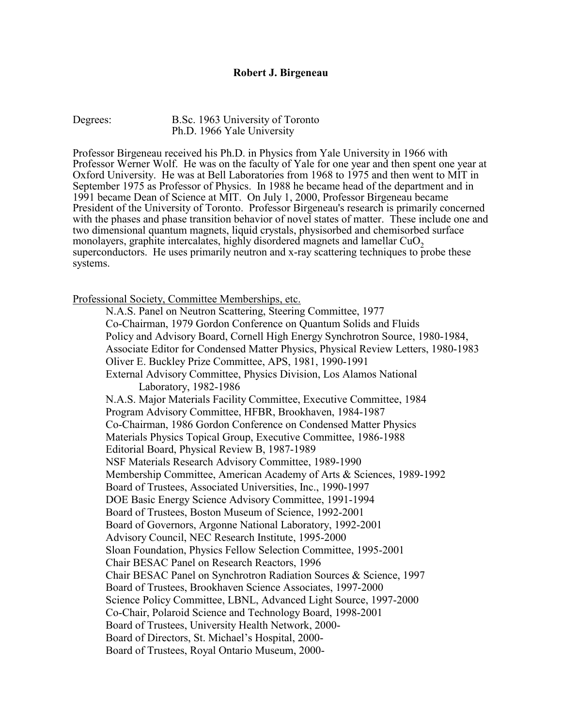### **Robert J. Birgeneau**

#### Degrees: B.Sc. 1963 University of Toronto Ph.D. 1966 Yale University

Professor Birgeneau received his Ph.D. in Physics from Yale University in 1966 with Professor Werner Wolf. He was on the faculty of Yale for one year and then spent one year at Oxford University. He was at Bell Laboratories from 1968 to 1975 and then went to MIT in September 1975 as Professor of Physics. In 1988 he became head of the department and in 1991 became Dean of Science at MIT. On July 1, 2000, Professor Birgeneau became President of the University of Toronto. Professor Birgeneau's research is primarily concerned with the phases and phase transition behavior of novel states of matter. These include one and two dimensional quantum magnets, liquid crystals, physisorbed and chemisorbed surface monolayers, graphite intercalates, highly disordered magnets and lamellar  $CuO<sub>2</sub>$ superconductors. He uses primarily neutron and x-ray scattering techniques to probe these systems.

Professional Society, Committee Memberships, etc.

 N.A.S. Panel on Neutron Scattering, Steering Committee, 1977 Co-Chairman, 1979 Gordon Conference on Quantum Solids and Fluids Policy and Advisory Board, Cornell High Energy Synchrotron Source, 1980-1984, Associate Editor for Condensed Matter Physics, Physical Review Letters, 1980-1983 Oliver E. Buckley Prize Committee, APS, 1981, 1990-1991 External Advisory Committee, Physics Division, Los Alamos National Laboratory, 1982-1986 N.A.S. Major Materials Facility Committee, Executive Committee, 1984 Program Advisory Committee, HFBR, Brookhaven, 1984-1987 Co-Chairman, 1986 Gordon Conference on Condensed Matter Physics Materials Physics Topical Group, Executive Committee, 1986-1988 Editorial Board, Physical Review B, 1987-1989 NSF Materials Research Advisory Committee, 1989-1990 Membership Committee, American Academy of Arts & Sciences, 1989-1992 Board of Trustees, Associated Universities, Inc., 1990-1997 DOE Basic Energy Science Advisory Committee, 1991-1994 Board of Trustees, Boston Museum of Science, 1992-2001 Board of Governors, Argonne National Laboratory, 1992-2001 Advisory Council, NEC Research Institute, 1995-2000 Sloan Foundation, Physics Fellow Selection Committee, 1995-2001 Chair BESAC Panel on Research Reactors, 1996 Chair BESAC Panel on Synchrotron Radiation Sources & Science, 1997 Board of Trustees, Brookhaven Science Associates, 1997-2000 Science Policy Committee, LBNL, Advanced Light Source, 1997-2000 Co-Chair, Polaroid Science and Technology Board, 1998-2001 Board of Trustees, University Health Network, 2000- Board of Directors, St. Michael's Hospital, 2000- Board of Trustees, Royal Ontario Museum, 2000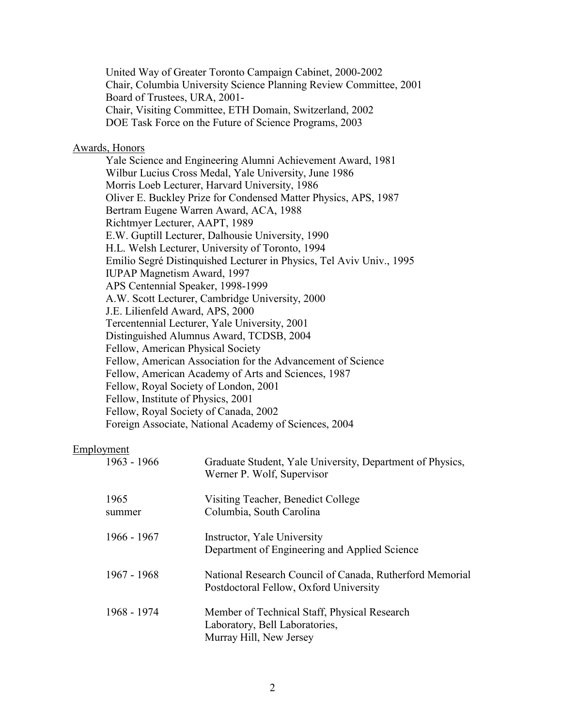United Way of Greater Toronto Campaign Cabinet, 2000-2002 Chair, Columbia University Science Planning Review Committee, 2001 Board of Trustees, URA, 2001- Chair, Visiting Committee, ETH Domain, Switzerland, 2002 DOE Task Force on the Future of Science Programs, 2003

## Awards, Honors

Yale Science and Engineering Alumni Achievement Award, 1981 Wilbur Lucius Cross Medal, Yale University, June 1986 Morris Loeb Lecturer, Harvard University, 1986 Oliver E. Buckley Prize for Condensed Matter Physics, APS, 1987 Bertram Eugene Warren Award, ACA, 1988 Richtmyer Lecturer, AAPT, 1989 E.W. Guptill Lecturer, Dalhousie University, 1990 H.L. Welsh Lecturer, University of Toronto, 1994 Emilio Segré Distinquished Lecturer in Physics, Tel Aviv Univ., 1995 IUPAP Magnetism Award, 1997 APS Centennial Speaker, 1998-1999 A.W. Scott Lecturer, Cambridge University, 2000 J.E. Lilienfeld Award, APS, 2000 Tercentennial Lecturer, Yale University, 2001 Distinguished Alumnus Award, TCDSB, 2004 Fellow, American Physical Society Fellow, American Association for the Advancement of Science Fellow, American Academy of Arts and Sciences, 1987 Fellow, Royal Society of London, 2001 Fellow, Institute of Physics, 2001 Fellow, Royal Society of Canada, 2002 Foreign Associate, National Academy of Sciences, 2004

#### Employment

| 1963 - 1966    | Graduate Student, Yale University, Department of Physics,<br>Werner P. Wolf, Supervisor                   |
|----------------|-----------------------------------------------------------------------------------------------------------|
| 1965<br>summer | Visiting Teacher, Benedict College<br>Columbia, South Carolina                                            |
| 1966 - 1967    | Instructor, Yale University<br>Department of Engineering and Applied Science                              |
| $1967 - 1968$  | National Research Council of Canada, Rutherford Memorial<br>Postdoctoral Fellow, Oxford University        |
| 1968 - 1974    | Member of Technical Staff, Physical Research<br>Laboratory, Bell Laboratories,<br>Murray Hill, New Jersey |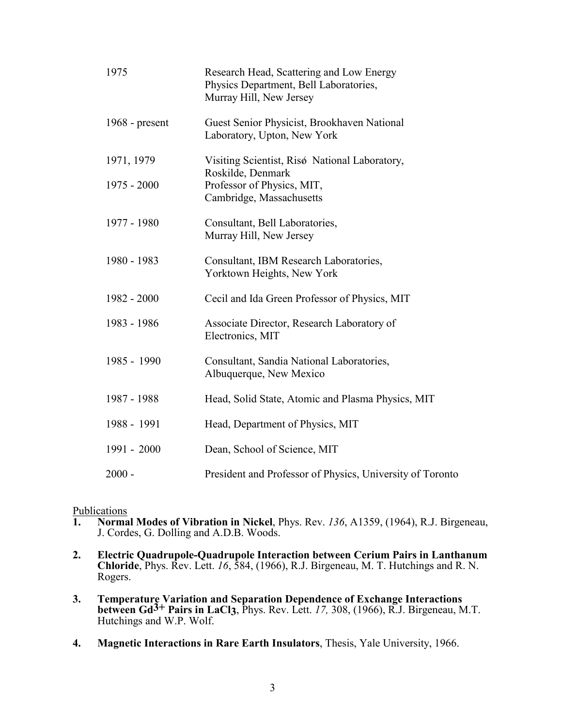| 1975             | Research Head, Scattering and Low Energy<br>Physics Department, Bell Laboratories,<br>Murray Hill, New Jersey |
|------------------|---------------------------------------------------------------------------------------------------------------|
| 1968 - $present$ | Guest Senior Physicist, Brookhaven National<br>Laboratory, Upton, New York                                    |
| 1971, 1979       | Visiting Scientist, Risø National Laboratory,<br>Roskilde, Denmark                                            |
| $1975 - 2000$    | Professor of Physics, MIT,<br>Cambridge, Massachusetts                                                        |
| 1977 - 1980      | Consultant, Bell Laboratories,<br>Murray Hill, New Jersey                                                     |
| 1980 - 1983      | Consultant, IBM Research Laboratories,<br>Yorktown Heights, New York                                          |
| 1982 - 2000      | Cecil and Ida Green Professor of Physics, MIT                                                                 |
| 1983 - 1986      | Associate Director, Research Laboratory of<br>Electronics, MIT                                                |
| 1985 - 1990      | Consultant, Sandia National Laboratories,<br>Albuquerque, New Mexico                                          |
| 1987 - 1988      | Head, Solid State, Atomic and Plasma Physics, MIT                                                             |
| 1988 - 1991      | Head, Department of Physics, MIT                                                                              |
| 1991 - 2000      | Dean, School of Science, MIT                                                                                  |
| $2000 -$         | President and Professor of Physics, University of Toronto                                                     |

# Publications<br>1. Norma

- **1. Normal Modes of Vibration in Nickel**, Phys. Rev. *136*, A1359, (1964), R.J. Birgeneau, J. Cordes, G. Dolling and A.D.B. Woods.
- **2. Electric Quadrupole-Quadrupole Interaction between Cerium Pairs in Lanthanum Chloride**, Phys. Rev. Lett. *16*, 584, (1966), R.J. Birgeneau, M. T. Hutchings and R. N. Rogers.
- **3. Temperature Variation and Separation Dependence of Exchange Interactions between Gd3+ Pairs in LaCl3**, Phys. Rev. Lett. *17,* 308, (1966), R.J. Birgeneau, M.T. Hutchings and W.P. Wolf.
- **4. Magnetic Interactions in Rare Earth Insulators**, Thesis, Yale University, 1966.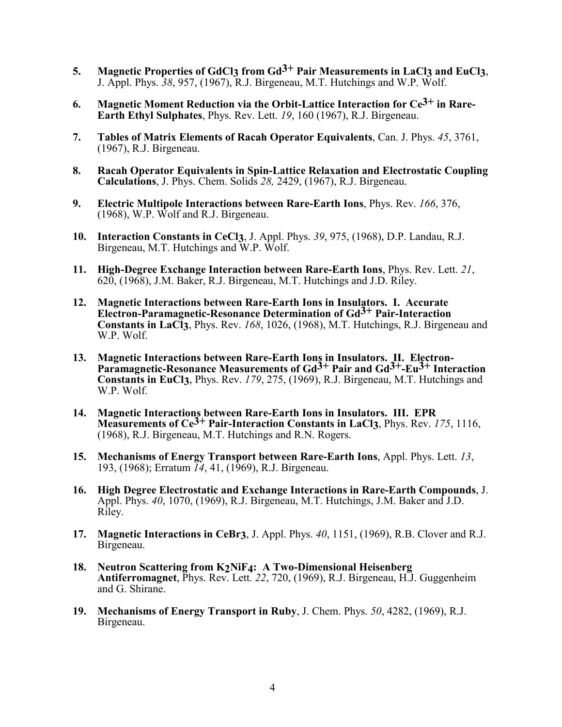- **5. Magnetic Properties of GdCl3 from Gd3+ Pair Measurements in LaCl3 and EuCl3**, J. Appl. Phys. *38*, 957, (1967), R.J. Birgeneau, M.T. Hutchings and W.P. Wolf.
- **6. Magnetic Moment Reduction via the Orbit-Lattice Interaction for Ce3+ in Rare-Earth Ethyl Sulphates**, Phys. Rev. Lett. *19*, 160 (1967), R.J. Birgeneau.
- **7. Tables of Matrix Elements of Racah Operator Equivalents**, Can. J. Phys. *45*, 3761, (1967), R.J. Birgeneau.
- **8. Racah Operator Equivalents in Spin-Lattice Relaxation and Electrostatic Coupling Calculations**, J. Phys. Chem. Solids *28,* 2429, (1967), R.J. Birgeneau.
- **9. Electric Multipole Interactions between Rare-Earth Ions**, Phys. Rev. *166*, 376, (1968), W.P. Wolf and R.J. Birgeneau.
- **10. Interaction Constants in CeCl3**, J. Appl. Phys. *39*, 975, (1968), D.P. Landau, R.J. Birgeneau, M.T. Hutchings and W.P. Wolf.
- **11. High-Degree Exchange Interaction between Rare-Earth Ions**, Phys. Rev. Lett. *21*, 620, (1968), J.M. Baker, R.J. Birgeneau, M.T. Hutchings and J.D. Riley.
- **12. Magnetic Interactions between Rare-Earth Ions in Insulators. I. Accurate Electron-Paramagnetic-Resonance Determination of Gd3+ Pair-Interaction Constants in LaCl3**, Phys. Rev. *168*, 1026, (1968), M.T. Hutchings, R.J. Birgeneau and W.P. Wolf.
- **13. Magnetic Interactions between Rare-Earth Ions in Insulators. II. Electron-Paramagnetic-Resonance Measurements of Gd3+ Pair and Gd3+-Eu3+ Interaction Constants in EuCl3**, Phys. Rev. *179*, 275, (1969), R.J. Birgeneau, M.T. Hutchings and W.P. Wolf.
- **14. Magnetic Interactions between Rare-Earth Ions in Insulators. III. EPR Measurements of Ce3+ Pair-Interaction Constants in LaCl3**, Phys. Rev. *175*, 1116, (1968), R.J. Birgeneau, M.T. Hutchings and R.N. Rogers.
- **15. Mechanisms of Energy Transport between Rare-Earth Ions**, Appl. Phys. Lett. *13*, 193, (1968); Erratum *14*, 41, (1969), R.J. Birgeneau.
- **16. High Degree Electrostatic and Exchange Interactions in Rare-Earth Compounds**, J. Appl. Phys. *40*, 1070, (1969), R.J. Birgeneau, M.T. Hutchings, J.M. Baker and J.D. Riley.
- **17. Magnetic Interactions in CeBr3**, J. Appl. Phys. *40*, 1151, (1969), R.B. Clover and R.J. Birgeneau.
- **18. Neutron Scattering from K2NiF4: A Two-Dimensional Heisenberg Antiferromagnet**, Phys. Rev. Lett. *22*, 720, (1969), R.J. Birgeneau, H.J. Guggenheim and G. Shirane.
- **19. Mechanisms of Energy Transport in Ruby**, J. Chem. Phys. *50*, 4282, (1969), R.J. Birgeneau.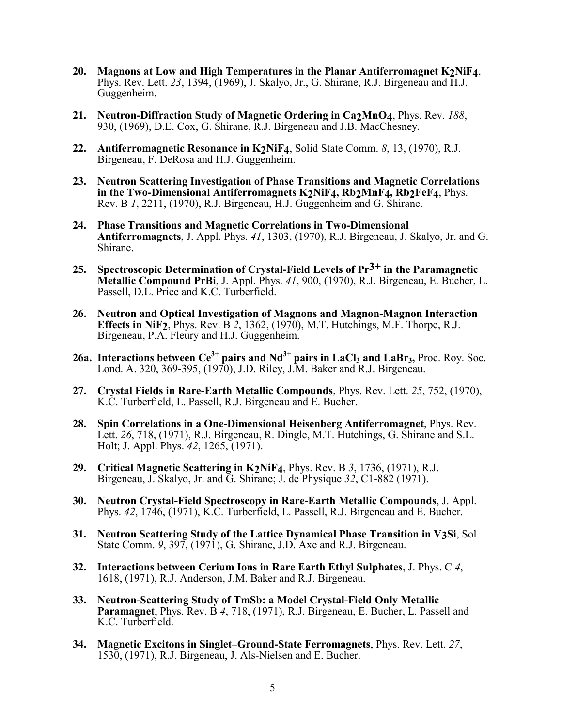- **20. Magnons at Low and High Temperatures in the Planar Antiferromagnet K2NiF4**, Phys. Rev. Lett. *23*, 1394, (1969), J. Skalyo, Jr., G. Shirane, R.J. Birgeneau and H.J. Guggenheim.
- **21. Neutron-Diffraction Study of Magnetic Ordering in Ca2MnO4**, Phys. Rev. *188*, 930, (1969), D.E. Cox, G. Shirane, R.J. Birgeneau and J.B. MacChesney.
- **22. Antiferromagnetic Resonance in K2NiF4**, Solid State Comm. *8*, 13, (1970), R.J. Birgeneau, F. DeRosa and H.J. Guggenheim.
- **23. Neutron Scattering Investigation of Phase Transitions and Magnetic Correlations in the Two-Dimensional Antiferromagnets K2NiF4, Rb2MnF4, Rb2FeF4**, Phys. Rev. B *1*, 2211, (1970), R.J. Birgeneau, H.J. Guggenheim and G. Shirane.
- **24. Phase Transitions and Magnetic Correlations in Two-Dimensional Antiferromagnets**, J. Appl. Phys. *41*, 1303, (1970), R.J. Birgeneau, J. Skalyo, Jr. and G. Shirane.
- **25. Spectroscopic Determination of Crystal-Field Levels of Pr3+ in the Paramagnetic Metallic Compound PrBi**, J. Appl. Phys. *41*, 900, (1970), R.J. Birgeneau, E. Bucher, L. Passell, D.L. Price and K.C. Turberfield.
- **26. Neutron and Optical Investigation of Magnons and Magnon-Magnon Interaction Effects in NiF2**, Phys. Rev. B *<sup>2</sup>*, 1362, (1970), M.T. Hutchings, M.F. Thorpe, R.J. Birgeneau, P.A. Fleury and H.J. Guggenheim.
- **26a. Interactions between**  $Ce^{3+}$  **pairs and**  $Nd^{3+}$  **pairs in LaCl3 and LaBr3, Proc. Roy. Soc.** Lond. A. 320, 369-395, (1970), J.D. Riley, J.M. Baker and R.J. Birgeneau.
- **27. Crystal Fields in Rare-Earth Metallic Compounds**, Phys. Rev. Lett. *25*, 752, (1970), K.C. Turberfield, L. Passell, R.J. Birgeneau and E. Bucher.
- **28. Spin Correlations in a One-Dimensional Heisenberg Antiferromagnet**, Phys. Rev. Lett. *26*, 718, (1971), R.J. Birgeneau, R. Dingle, M.T. Hutchings, G. Shirane and S.L. Holt; J. Appl. Phys. *42*, 1265, (1971).
- **29. Critical Magnetic Scattering in K2NiF4**, Phys. Rev. B *<sup>3</sup>*, 1736, (1971), R.J. Birgeneau, J. Skalyo, Jr. and G. Shirane; J. de Physique *32*, C1-882 (1971).
- **30. Neutron Crystal-Field Spectroscopy in Rare-Earth Metallic Compounds**, J. Appl. Phys. *42*, 1746, (1971), K.C. Turberfield, L. Passell, R.J. Birgeneau and E. Bucher.
- **31. Neutron Scattering Study of the Lattice Dynamical Phase Transition in V3Si**, Sol. State Comm. *9*, 397, (1971), G. Shirane, J.D. Axe and R.J. Birgeneau.
- **32. Interactions between Cerium Ions in Rare Earth Ethyl Sulphates**, J. Phys. C *4*, 1618, (1971), R.J. Anderson, J.M. Baker and R.J. Birgeneau.
- **33. Neutron-Scattering Study of TmSb: a Model Crystal-Field Only Metallic Paramagnet**, Phys. Rev. B *4*, 718, (1971), R.J. Birgeneau, E. Bucher, L. Passell and K.C. Turberfield.
- **34. Magnetic Excitons in Singlet–Ground-State Ferromagnets**, Phys. Rev. Lett. *27*, 1530, (1971), R.J. Birgeneau, J. Als-Nielsen and E. Bucher.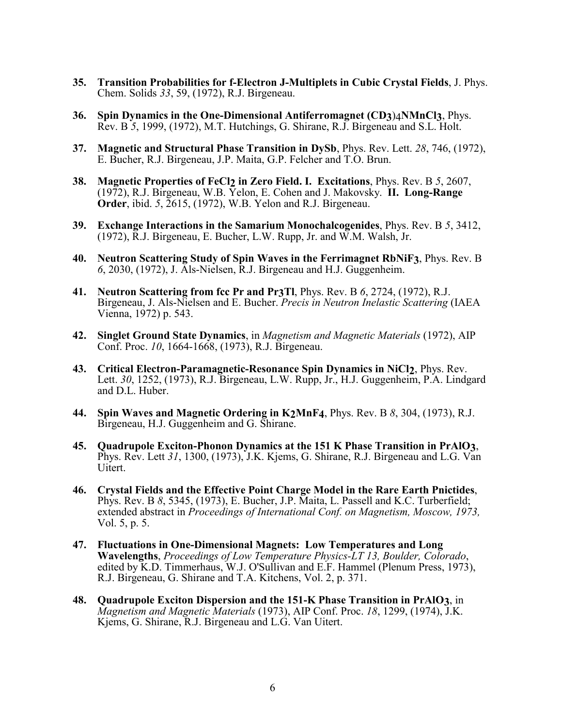- **35. Transition Probabilities for f-Electron J-Multiplets in Cubic Crystal Fields**, J. Phys. Chem. Solids *33*, 59, (1972), R.J. Birgeneau.
- **36. Spin Dynamics in the One-Dimensional Antiferromagnet (CD3**)4**NMnCl3**, Phys. Rev. B *5*, 1999, (1972), M.T. Hutchings, G. Shirane, R.J. Birgeneau and S.L. Holt.
- **37. Magnetic and Structural Phase Transition in DySb**, Phys. Rev. Lett. *28*, 746, (1972), E. Bucher, R.J. Birgeneau, J.P. Maita, G.P. Felcher and T.O. Brun.
- **38. Magnetic Properties of FeCl2 in Zero Field. I. Excitations**, Phys. Rev. B *5*, 2607, (1972), R.J. Birgeneau, W.B. Yelon, E. Cohen and J. Makovsky. **II. Long-Range Order**, ibid. *5*, 2615, (1972), W.B. Yelon and R.J. Birgeneau.
- **39. Exchange Interactions in the Samarium Monochalcogenides**, Phys. Rev. B *5*, 3412, (1972), R.J. Birgeneau, E. Bucher, L.W. Rupp, Jr. and W.M. Walsh, Jr.
- **40. Neutron Scattering Study of Spin Waves in the Ferrimagnet RbNiF3**, Phys. Rev. B *6*, 2030, (1972), J. Als-Nielsen, R.J. Birgeneau and H.J. Guggenheim.
- **41. Neutron Scattering from fcc Pr and Pr3Tl**, Phys. Rev. B *<sup>6</sup>*, 2724, (1972), R.J. Birgeneau, J. Als-Nielsen and E. Bucher. *Precis in Neutron Inelastic Scattering* (IAEA Vienna, 1972) p. 543.
- **42. Singlet Ground State Dynamics**, in *Magnetism and Magnetic Materials* (1972), AIP Conf. Proc. *10*, 1664-1668, (1973), R.J. Birgeneau.
- **43. Critical Electron-Paramagnetic-Resonance Spin Dynamics in NiCl2**, Phys. Rev. Lett. *30*, 1252, (1973), R.J. Birgeneau, L.W. Rupp, Jr., H.J. Guggenheim, P.A. Lindgard and D.L. Huber.
- **44. Spin Waves and Magnetic Ordering in K2MnF4**, Phys. Rev. B *<sup>8</sup>*, 304, (1973), R.J. Birgeneau, H.J. Guggenheim and G. Shirane.
- **45. Quadrupole Exciton-Phonon Dynamics at the 151 K Phase Transition in PrAlO3**, Phys. Rev. Lett *31*, 1300, (1973), J.K. Kjems, G. Shirane, R.J. Birgeneau and L.G. Van Uitert.
- **46. Crystal Fields and the Effective Point Charge Model in the Rare Earth Pnictides**, Phys. Rev. B *8*, 5345, (1973), E. Bucher, J.P. Maita, L. Passell and K.C. Turberfield; extended abstract in *Proceedings of International Conf. on Magnetism, Moscow, 1973,* Vol. 5, p. 5.
- **47. Fluctuations in One-Dimensional Magnets: Low Temperatures and Long Wavelengths**, *Proceedings of Low Temperature Physics-LT 13, Boulder, Colorado*, edited by K.D. Timmerhaus, W.J. O'Sullivan and E.F. Hammel (Plenum Press, 1973), R.J. Birgeneau, G. Shirane and T.A. Kitchens, Vol. 2, p. 371.
- **48. Quadrupole Exciton Dispersion and the 151-K Phase Transition in PrAlO3**, in *Magnetism and Magnetic Materials* (1973), AIP Conf. Proc. *18*, 1299, (1974), J.K. Kjems, G. Shirane, R.J. Birgeneau and L.G. Van Uitert.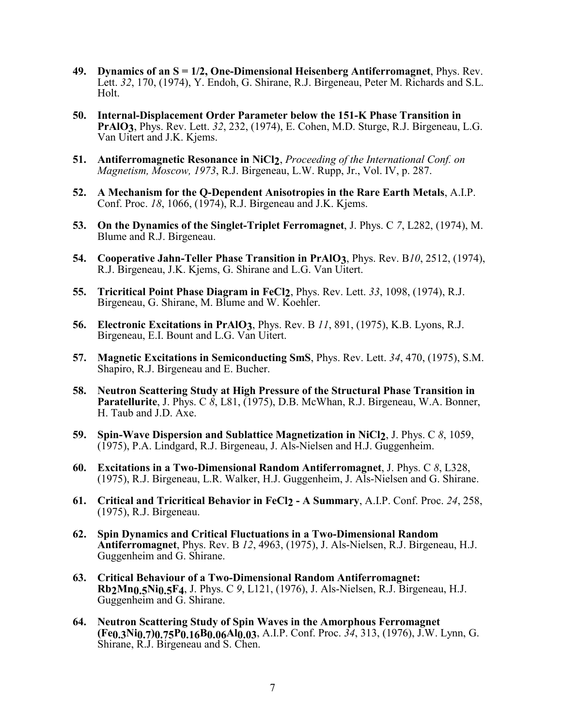- **49. Dynamics of an S = 1/2, One-Dimensional Heisenberg Antiferromagnet**, Phys. Rev. Lett. *32*, 170, (1974), Y. Endoh, G. Shirane, R.J. Birgeneau, Peter M. Richards and S.L. Holt.
- **50. Internal-Displacement Order Parameter below the 151-K Phase Transition in PrAlO3**, Phys. Rev. Lett. *32*, 232, (1974), E. Cohen, M.D. Sturge, R.J. Birgeneau, L.G. Van Uitert and J.K. Kjems.
- **51. Antiferromagnetic Resonance in NiCl2**, *Proceeding of the International Conf. on Magnetism, Moscow, 1973*, R.J. Birgeneau, L.W. Rupp, Jr., Vol. IV, p. 287.
- **52. A Mechanism for the Q-Dependent Anisotropies in the Rare Earth Metals**, A.I.P. Conf. Proc. *18*, 1066, (1974), R.J. Birgeneau and J.K. Kjems.
- **53. On the Dynamics of the Singlet-Triplet Ferromagnet**, J. Phys. C *7*, L282, (1974), M. Blume and R.J. Birgeneau.
- **54. Cooperative Jahn-Teller Phase Transition in PrAlO3**, Phys. Rev. B*10*, 2512, (1974), R.J. Birgeneau, J.K. Kjems, G. Shirane and L.G. Van Uitert.
- **55. Tricritical Point Phase Diagram in FeCl2**, Phys. Rev. Lett. *33*, 1098, (1974), R.J. Birgeneau, G. Shirane, M. Blume and W. Koehler.
- **56. Electronic Excitations in PrAlO3**, Phys. Rev. B *<sup>11</sup>*, 891, (1975), K.B. Lyons, R.J. Birgeneau, E.I. Bount and L.G. Van Uitert.
- **57. Magnetic Excitations in Semiconducting SmS**, Phys. Rev. Lett. *34*, 470, (1975), S.M. Shapiro, R.J. Birgeneau and E. Bucher.
- **58. Neutron Scattering Study at High Pressure of the Structural Phase Transition in Paratellurite**, J. Phys. C *8*, L81, (1975), D.B. McWhan, R.J. Birgeneau, W.A. Bonner, H. Taub and J.D. Axe.
- **59. Spin-Wave Dispersion and Sublattice Magnetization in NiCl2**, J. Phys. C *8*, 1059, (1975), P.A. Lindgard, R.J. Birgeneau, J. Als-Nielsen and H.J. Guggenheim.
- **60. Excitations in a Two-Dimensional Random Antiferromagnet**, J. Phys. C *8*, L328, (1975), R.J. Birgeneau, L.R. Walker, H.J. Guggenheim, J. Als-Nielsen and G. Shirane.
- **61. Critical and Tricritical Behavior in FeCl2 A Summary**, A.I.P. Conf. Proc. *24*, 258, (1975), R.J. Birgeneau.
- **62. Spin Dynamics and Critical Fluctuations in a Two-Dimensional Random Antiferromagnet**, Phys. Rev. B *12*, 4963, (1975), J. Als-Nielsen, R.J. Birgeneau, H.J. Guggenheim and G. Shirane.
- **63. Critical Behaviour of a Two-Dimensional Random Antiferromagnet: Rb2Mn0.5Ni0.5F4**, J. Phys. C *9*, L121, (1976), J. Als-Nielsen, R.J. Birgeneau, H.J. Guggenheim and G. Shirane.
- **64. Neutron Scattering Study of Spin Waves in the Amorphous Ferromagnet (Fe0.3Ni0.7)0.75P0.16B0.06Al0.03**, A.I.P. Conf. Proc. *34*, 313, (1976), J.W. Lynn, G. Shirane, R.J. Birgeneau and S. Chen.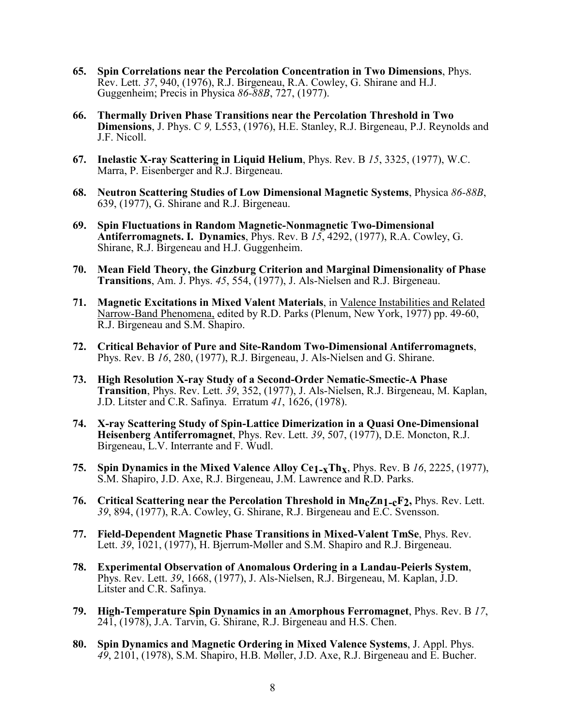- **65. Spin Correlations near the Percolation Concentration in Two Dimensions**, Phys. Rev. Lett. *37*, 940, (1976), R.J. Birgeneau, R.A. Cowley, G. Shirane and H.J. Guggenheim; Precis in Physica *86-88B*, 727, (1977).
- **66. Thermally Driven Phase Transitions near the Percolation Threshold in Two Dimensions**, J. Phys. C *9,* L553, (1976), H.E. Stanley, R.J. Birgeneau, P.J. Reynolds and J.F. Nicoll.
- **67. Inelastic X-ray Scattering in Liquid Helium**, Phys. Rev. B *15*, 3325, (1977), W.C. Marra, P. Eisenberger and R.J. Birgeneau.
- **68. Neutron Scattering Studies of Low Dimensional Magnetic Systems**, Physica *86-88B*, 639, (1977), G. Shirane and R.J. Birgeneau.
- **69. Spin Fluctuations in Random Magnetic-Nonmagnetic Two-Dimensional Antiferromagnets. I. Dynamics**, Phys. Rev. B *15*, 4292, (1977), R.A. Cowley, G. Shirane, R.J. Birgeneau and H.J. Guggenheim.
- **70. Mean Field Theory, the Ginzburg Criterion and Marginal Dimensionality of Phase Transitions**, Am. J. Phys. *45*, 554, (1977), J. Als-Nielsen and R.J. Birgeneau.
- **71. Magnetic Excitations in Mixed Valent Materials**, in Valence Instabilities and Related Narrow-Band Phenomena, edited by R.D. Parks (Plenum, New York, 1977) pp. 49-60, R.J. Birgeneau and S.M. Shapiro.
- **72. Critical Behavior of Pure and Site-Random Two-Dimensional Antiferromagnets**, Phys. Rev. B *<sup>16</sup>*, 280, (1977), R.J. Birgeneau, J. Als-Nielsen and G. Shirane.
- **73. High Resolution X-ray Study of a Second-Order Nematic-Smectic-A Phase Transition**, Phys. Rev. Lett. *39*, 352, (1977), J. Als-Nielsen, R.J. Birgeneau, M. Kaplan, J.D. Litster and C.R. Safinya. Erratum *41*, 1626, (1978).
- **74. X-ray Scattering Study of Spin-Lattice Dimerization in a Quasi One-Dimensional Heisenberg Antiferromagnet**, Phys. Rev. Lett. *39*, 507, (1977), D.E. Moncton, R.J. Birgeneau, L.V. Interrante and F. Wudl.
- **75. Spin Dynamics in the Mixed Valence Alloy Ce1-xThx**, Phys. Rev. B *16*, 2225, (1977), S.M. Shapiro, J.D. Axe, R.J. Birgeneau, J.M. Lawrence and R.D. Parks.
- 76. Critical Scattering near the Percolation Threshold in Mn<sub>c</sub>Zn<sub>1-c</sub>F<sub>2</sub>, Phys. Rev. Lett. *39*, 894, (1977), R.A. Cowley, G. Shirane, R.J. Birgeneau and E.C. Svensson.
- **77. Field-Dependent Magnetic Phase Transitions in Mixed-Valent TmSe**, Phys. Rev. Lett. *39*, 1021, (1977), H. Bjerrum-Møller and S.M. Shapiro and R.J. Birgeneau.
- **78. Experimental Observation of Anomalous Ordering in a Landau-Peierls System**, Phys. Rev. Lett. *39*, 1668, (1977), J. Als-Nielsen, R.J. Birgeneau, M. Kaplan, J.D. Litster and C.R. Safinya.
- **79. High-Temperature Spin Dynamics in an Amorphous Ferromagnet**, Phys. Rev. B *17*, 241, (1978), J.A. Tarvin, G. Shirane, R.J. Birgeneau and H.S. Chen.
- **80. Spin Dynamics and Magnetic Ordering in Mixed Valence Systems**, J. Appl. Phys. *49*, 2101, (1978), S.M. Shapiro, H.B. Møller, J.D. Axe, R.J. Birgeneau and E. Bucher.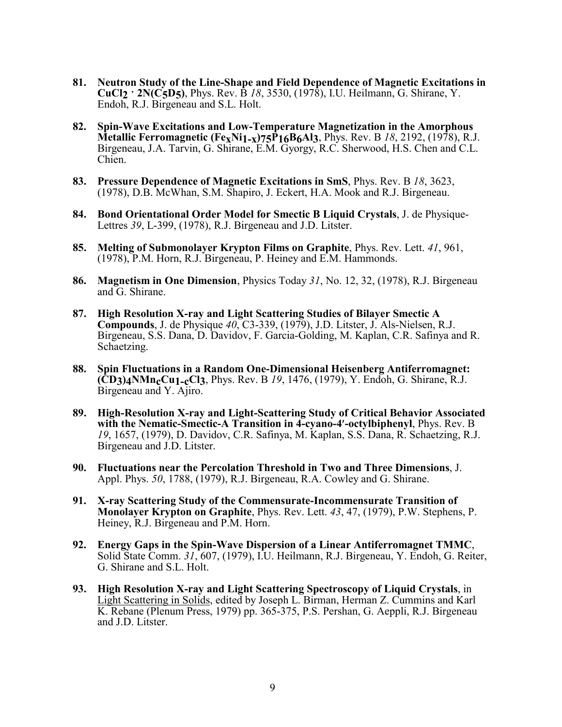- **81. Neutron Study of the Line-Shape and Field Dependence of Magnetic Excitations in CuCl2 ˙ 2N(C5D5)**, Phys. Rev. B *18*, 3530, (1978), I.U. Heilmann, G. Shirane, Y. Endoh, R.J. Birgeneau and S.L. Holt.
- **82. Spin-Wave Excitations and Low-Temperature Magnetization in the Amorphous Metallic Ferromagnetic (FexNi1-x)75P16B6Al3**, Phys. Rev. B *18*, 2192, (1978), R.J. Birgeneau, J.A. Tarvin, G. Shirane, E.M. Gyorgy, R.C. Sherwood, H.S. Chen and C.L. Chien.
- **83. Pressure Dependence of Magnetic Excitations in SmS**, Phys. Rev. B *18*, 3623, (1978), D.B. McWhan, S.M. Shapiro, J. Eckert, H.A. Mook and R.J. Birgeneau.
- **84. Bond Orientational Order Model for Smectic B Liquid Crystals**, J. de Physique-Lettres *39*, L-399, (1978), R.J. Birgeneau and J.D. Litster.
- **85. Melting of Submonolayer Krypton Films on Graphite**, Phys. Rev. Lett. *41*, 961, (1978), P.M. Horn, R.J. Birgeneau, P. Heiney and E.M. Hammonds.
- **86. Magnetism in One Dimension**, Physics Today *31*, No. 12, 32, (1978), R.J. Birgeneau and G. Shirane.
- **87. High Resolution X-ray and Light Scattering Studies of Bilayer Smectic A Compounds**, J. de Physique *40*, C3-339, (1979), J.D. Litster, J. Als-Nielsen, R.J. Birgeneau, S.S. Dana, D. Davidov, F. Garcia-Golding, M. Kaplan, C.R. Safinya and R. Schaetzing.
- **88. Spin Fluctuations in a Random One-Dimensional Heisenberg Antiferromagnet: (CD3)4NMncCu1-cCl3**, Phys. Rev. B *<sup>19</sup>*, 1476, (1979), Y. Endoh, G. Shirane, R.J. Birgeneau and Y. Ajiro.
- **89. High-Resolution X-ray and Light-Scattering Study of Critical Behavior Associated with the Nematic-Smectic-A Transition in 4-cyano-4-octylbiphenyl**, Phys. Rev. B *<sup>19</sup>*, 1657, (1979), D. Davidov, C.R. Safinya, M. Kaplan, S.S. Dana, R. Schaetzing, R.J. Birgeneau and J.D. Litster.
- **90. Fluctuations near the Percolation Threshold in Two and Three Dimensions**, J. Appl. Phys. *50*, 1788, (1979), R.J. Birgeneau, R.A. Cowley and G. Shirane.
- **91. X-ray Scattering Study of the Commensurate-Incommensurate Transition of Monolayer Krypton on Graphite**, Phys. Rev. Lett. *43*, 47, (1979), P.W. Stephens, P. Heiney, R.J. Birgeneau and P.M. Horn.
- **92. Energy Gaps in the Spin-Wave Dispersion of a Linear Antiferromagnet TMMC**, Solid State Comm. *31*, 607, (1979), I.U. Heilmann, R.J. Birgeneau, Y. Endoh, G. Reiter, G. Shirane and S.L. Holt.
- **93. High Resolution X-ray and Light Scattering Spectroscopy of Liquid Crystals**, in Light Scattering in Solids, edited by Joseph L. Birman, Herman Z. Cummins and Karl K. Rebane (Plenum Press, 1979) pp. 365-375, P.S. Pershan, G. Aeppli, R.J. Birgeneau and J.D. Litster.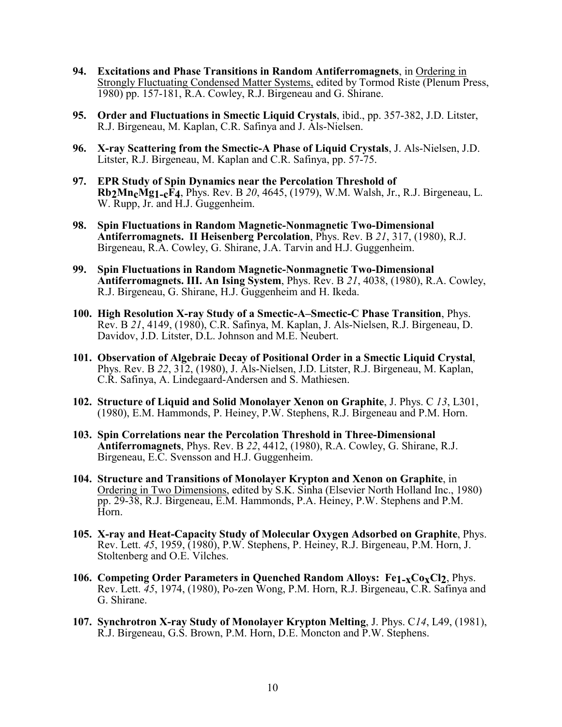- **94. Excitations and Phase Transitions in Random Antiferromagnets**, in Ordering in Strongly Fluctuating Condensed Matter Systems, edited by Tormod Riste (Plenum Press, 1980) pp. 157-181, R.A. Cowley, R.J. Birgeneau and G. Shirane.
- **95. Order and Fluctuations in Smectic Liquid Crystals**, ibid., pp. 357-382, J.D. Litster, R.J. Birgeneau, M. Kaplan, C.R. Safinya and J. Als-Nielsen.
- **96. X-ray Scattering from the Smectic-A Phase of Liquid Crystals**, J. Als-Nielsen, J.D. Litster, R.J. Birgeneau, M. Kaplan and C.R. Safinya, pp. 57-75.
- **97. EPR Study of Spin Dynamics near the Percolation Threshold of Rb2MncMg1-cF4**, Phys. Rev. B 20, 4645, (1979), W.M. Walsh, Jr., R.J. Birgeneau, L. W. Rupp, Jr. and H.J. Guggenheim.
- **98. Spin Fluctuations in Random Magnetic-Nonmagnetic Two-Dimensional Antiferromagnets. II Heisenberg Percolation**, Phys. Rev. B *<sup>21</sup>*, 317, (1980), R.J. Birgeneau, R.A. Cowley, G. Shirane, J.A. Tarvin and H.J. Guggenheim.
- **99. Spin Fluctuations in Random Magnetic-Nonmagnetic Two-Dimensional Antiferromagnets. III. An Ising System**, Phys. Rev. B *<sup>21</sup>*, 4038, (1980), R.A. Cowley, R.J. Birgeneau, G. Shirane, H.J. Guggenheim and H. Ikeda.
- **100. High Resolution X-ray Study of a Smectic-A–Smectic-C Phase Transition**, Phys. Rev. B *<sup>21</sup>*, 4149, (1980), C.R. Safinya, M. Kaplan, J. Als-Nielsen, R.J. Birgeneau, D. Davidov, J.D. Litster, D.L. Johnson and M.E. Neubert.
- **101. Observation of Algebraic Decay of Positional Order in a Smectic Liquid Crystal**, Phys. Rev. B *<sup>22</sup>*, 312, (1980), J. Als-Nielsen, J.D. Litster, R.J. Birgeneau, M. Kaplan, C.R. Safinya, A. Lindegaard-Andersen and S. Mathiesen.
- **102. Structure of Liquid and Solid Monolayer Xenon on Graphite**, J. Phys. C *13*, L301, (1980), E.M. Hammonds, P. Heiney, P.W. Stephens, R.J. Birgeneau and P.M. Horn.
- **103. Spin Correlations near the Percolation Threshold in Three-Dimensional Antiferromagnets**, Phys. Rev. B *<sup>22</sup>*, 4412, (1980), R.A. Cowley, G. Shirane, R.J. Birgeneau, E.C. Svensson and H.J. Guggenheim.
- **104. Structure and Transitions of Monolayer Krypton and Xenon on Graphite**, in Ordering in Two Dimensions, edited by S.K. Sinha (Elsevier North Holland Inc., 1980) pp. 29-38, R.J. Birgeneau, E.M. Hammonds, P.A. Heiney, P.W. Stephens and P.M. Horn.
- **105. X-ray and Heat-Capacity Study of Molecular Oxygen Adsorbed on Graphite**, Phys. Rev. Lett. *45*, 1959, (1980), P.W. Stephens, P. Heiney, R.J. Birgeneau, P.M. Horn, J. Stoltenberg and O.E. Vilches.
- **106. Competing Order Parameters in Quenched Random Alloys: Fe1-xCoxCl2**, Phys. Rev. Lett. *45*, 1974, (1980), Po-zen Wong, P.M. Horn, R.J. Birgeneau, C.R. Safinya and G. Shirane.
- **107. Synchrotron X-ray Study of Monolayer Krypton Melting**, J. Phys. C*14*, L49, (1981), R.J. Birgeneau, G.S. Brown, P.M. Horn, D.E. Moncton and P.W. Stephens.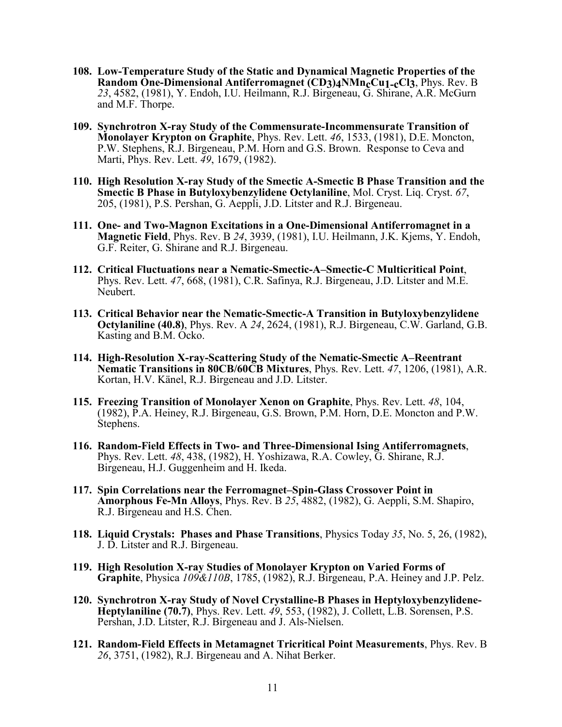- **108. Low-Temperature Study of the Static and Dynamical Magnetic Properties of the Random One-Dimensional Antiferromagnet (CD3)4NMn<sub>c</sub>Cu<sub>1-c</sub>Cl<sub>3</sub>, Phys. Rev. B** *23*, 4582, (1981), Y. Endoh, I.U. Heilmann, R.J. Birgeneau, G. Shirane, A.R. McGurn and M.F. Thorpe.
- **109. Synchrotron X-ray Study of the Commensurate-Incommensurate Transition of Monolayer Krypton on Graphite**, Phys. Rev. Lett. *46*, 1533, (1981), D.E. Moncton, P.W. Stephens, R.J. Birgeneau, P.M. Horn and G.S. Brown. Response to Ceva and Marti, Phys. Rev. Lett. *49*, 1679, (1982).
- **110. High Resolution X-ray Study of the Smectic A-Smectic B Phase Transition and the Smectic B Phase in Butyloxybenzylidene Octylaniline**, Mol. Cryst. Liq. Cryst. *67*, 205, (1981), P.S. Pershan, G. Aeppli, J.D. Litster and R.J. Birgeneau.
- **111. One- and Two-Magnon Excitations in a One-Dimensional Antiferromagnet in a Magnetic Field**, Phys. Rev. B *24*, 3939, (1981), I.U. Heilmann, J.K. Kjems, Y. Endoh, G.F. Reiter, G. Shirane and R.J. Birgeneau.
- **112. Critical Fluctuations near a Nematic-Smectic-A–Smectic-C Multicritical Point**, Phys. Rev. Lett. *47*, 668, (1981), C.R. Safinya, R.J. Birgeneau, J.D. Litster and M.E. Neubert.
- **113. Critical Behavior near the Nematic-Smectic-A Transition in Butyloxybenzylidene Octylaniline (40.8)**, Phys. Rev. A *24*, 2624, (1981), R.J. Birgeneau, C.W. Garland, G.B. Kasting and B.M. Ocko.
- **114. High-Resolution X-ray-Scattering Study of the Nematic-Smectic A–Reentrant Nematic Transitions in 80CB/60CB Mixtures**, Phys. Rev. Lett. *47*, 1206, (1981), A.R. Kortan, H.V. Känel, R.J. Birgeneau and J.D. Litster.
- **115. Freezing Transition of Monolayer Xenon on Graphite**, Phys. Rev. Lett. *48*, 104, (1982), P.A. Heiney, R.J. Birgeneau, G.S. Brown, P.M. Horn, D.E. Moncton and P.W. Stephens.
- **116. Random-Field Effects in Two- and Three-Dimensional Ising Antiferromagnets**, Phys. Rev. Lett. *48*, 438, (1982), H. Yoshizawa, R.A. Cowley, G. Shirane, R.J. Birgeneau, H.J. Guggenheim and H. Ikeda.
- **117. Spin Correlations near the Ferromagnet–Spin-Glass Crossover Point in Amorphous Fe-Mn Alloys**, Phys. Rev. B *25*, 4882, (1982), G. Aeppli, S.M. Shapiro, R.J. Birgeneau and H.S. Chen.
- **118. Liquid Crystals: Phases and Phase Transitions**, Physics Today *35*, No. 5, 26, (1982), J. D. Litster and R.J. Birgeneau.
- **119. High Resolution X-ray Studies of Monolayer Krypton on Varied Forms of Graphite**, Physica *109&110B*, 1785, (1982), R.J. Birgeneau, P.A. Heiney and J.P. Pelz.
- **120. Synchrotron X-ray Study of Novel Crystalline-B Phases in Heptyloxybenzylidene-Heptylaniline (70.7)**, Phys. Rev. Lett. *49*, 553, (1982), J. Collett, L.B. Sorensen, P.S. Pershan, J.D. Litster, R.J. Birgeneau and J. Als-Nielsen.
- **121. Random-Field Effects in Metamagnet Tricritical Point Measurements**, Phys. Rev. B *26*, 3751, (1982), R.J. Birgeneau and A. Nihat Berker.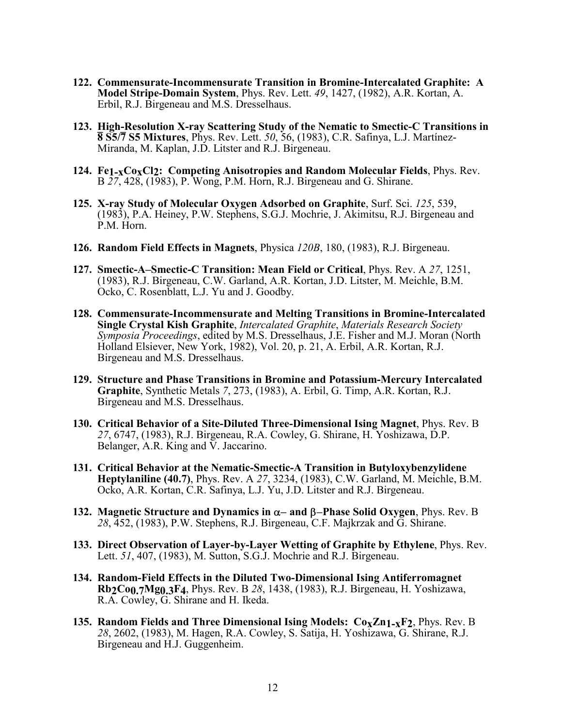- **122. Commensurate-Incommensurate Transition in Bromine-Intercalated Graphite: A Model Stripe-Domain System**, Phys. Rev. Lett. *49*, 1427, (1982), A.R. Kortan, A. Erbil, R.J. Birgeneau and M.S. Dresselhaus.
- **123. High-Resolution X-ray Scattering Study of the Nematic to Smectic-C Transitions in High-Resolution X-ray Scattering Study of the Nematic to Smectic-C Transit<br><b>8 S5/7 S5 Mixtures**, Phys. Rev. Lett. *50,* 56, (1983), C.R. Safinya, L.J. Martínez-Miranda, M. Kaplan, J.D. Litster and R.J. Birgeneau.
- **124. Fe1-xCoxCl2: Competing Anisotropies and Random Molecular Fields**, Phys. Rev. B *27*, 428, (1983), P. Wong, P.M. Horn, R.J. Birgeneau and G. Shirane.
- **125. X-ray Study of Molecular Oxygen Adsorbed on Graphite**, Surf. Sci. *125*, 539, (1983), P.A. Heiney, P.W. Stephens, S.G.J. Mochrie, J. Akimitsu, R.J. Birgeneau and P.M. Horn.
- **126. Random Field Effects in Magnets**, Physica *120B*, 180, (1983), R.J. Birgeneau.
- **127. Smectic-A–Smectic-C Transition: Mean Field or Critical**, Phys. Rev. A *27*, 1251, (1983), R.J. Birgeneau, C.W. Garland, A.R. Kortan, J.D. Litster, M. Meichle, B.M. Ocko, C. Rosenblatt, L.J. Yu and J. Goodby.
- **128. Commensurate-Incommensurate and Melting Transitions in Bromine-Intercalated Single Crystal Kish Graphite**, *Intercalated Graphite*, *Materials Research Society Symposia Proceedings*, edited by M.S. Dresselhaus, J.E. Fisher and M.J. Moran (North Holland Elsiever, New York, 1982), Vol. 20, p. 21, A. Erbil, A.R. Kortan, R.J. Birgeneau and M.S. Dresselhaus.
- **129. Structure and Phase Transitions in Bromine and Potassium-Mercury Intercalated Graphite**, Synthetic Metals *7*, 273, (1983), A. Erbil, G. Timp, A.R. Kortan, R.J. Birgeneau and M.S. Dresselhaus.
- **130. Critical Behavior of a Site-Diluted Three-Dimensional Ising Magnet**, Phys. Rev. B *27*, 6747, (1983), R.J. Birgeneau, R.A. Cowley, G. Shirane, H. Yoshizawa, D.P. Belanger, A.R. King and  $\overline{V}$ . Jaccarino.
- **131. Critical Behavior at the Nematic-Smectic-A Transition in Butyloxybenzylidene Heptylaniline (40.7)**, Phys. Rev. A *27*, 3234, (1983), C.W. Garland, M. Meichle, B.M. Ocko, A.R. Kortan, C.R. Safinya, L.J. Yu, J.D. Litster and R.J. Birgeneau.
- 132. Magnetic Structure and Dynamics in  $\alpha$  and  $\beta$  Phase Solid Oxygen, Phys. Rev. B *28*, 452, (1983), P.W. Stephens, R.J. Birgeneau, C.F. Majkrzak and G. Shirane.
- **133. Direct Observation of Layer-by-Layer Wetting of Graphite by Ethylene**, Phys. Rev. Lett. *51*, 407, (1983), M. Sutton, S.G.J. Mochrie and R.J. Birgeneau.
- **134. Random-Field Effects in the Diluted Two-Dimensional Ising Antiferromagnet Rb2Co0.7Mg0.3F4**, Phys. Rev. B *28*, 1438, (1983), R.J. Birgeneau, H. Yoshizawa, R.A. Cowley, G. Shirane and H. Ikeda.
- **135. Random Fields and Three Dimensional Ising Models:**  $Co_{\mathbf{X}}Zn1_{-\mathbf{X}}F2$ **, Phys. Rev. B** *28*, 2602, (1983), M. Hagen, R.A. Cowley, S. Satija, H. Yoshizawa, G. Shirane, R.J. Birgeneau and H.J. Guggenheim.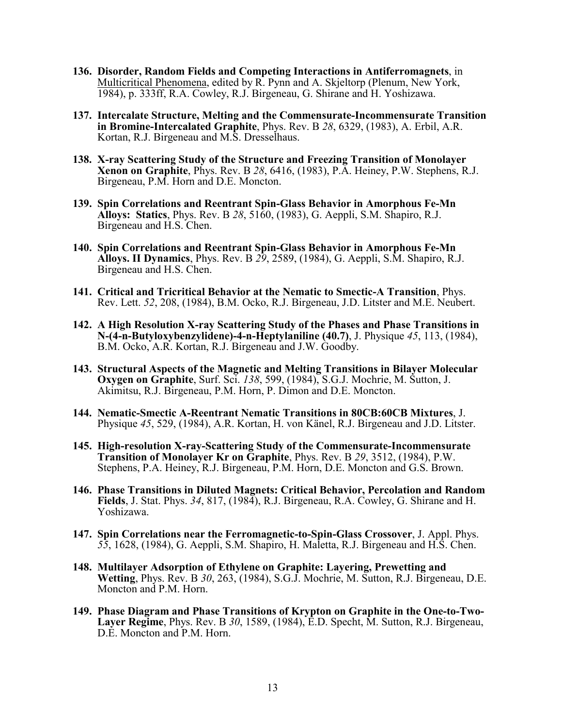- **136. Disorder, Random Fields and Competing Interactions in Antiferromagnets**, in Multicritical Phenomena, edited by R. Pynn and A. Skjeltorp (Plenum, New York, 1984), p. 333ff, R.A. Cowley, R.J. Birgeneau, G. Shirane and H. Yoshizawa.
- **137. Intercalate Structure, Melting and the Commensurate-Incommensurate Transition in Bromine-Intercalated Graphite**, Phys. Rev. B *28*, 6329, (1983), A. Erbil, A.R. Kortan, R.J. Birgeneau and M.S. Dresselhaus.
- **138. X-ray Scattering Study of the Structure and Freezing Transition of Monolayer Xenon on Graphite**, Phys. Rev. B *<sup>28</sup>*, 6416, (1983), P.A. Heiney, P.W. Stephens, R.J. Birgeneau, P.M. Horn and D.E. Moncton.
- **139. Spin Correlations and Reentrant Spin-Glass Behavior in Amorphous Fe-Mn Alloys: Statics**, Phys. Rev. B *<sup>28</sup>*, 5160, (1983), G. Aeppli, S.M. Shapiro, R.J. Birgeneau and H.S. Chen.
- **140. Spin Correlations and Reentrant Spin-Glass Behavior in Amorphous Fe-Mn Alloys. II Dynamics**, Phys. Rev. B *<sup>29</sup>*, 2589, (1984), G. Aeppli, S.M. Shapiro, R.J. Birgeneau and H.S. Chen.
- **141. Critical and Tricritical Behavior at the Nematic to Smectic-A Transition**, Phys.<br>Rev. Lett. *52*, 208, (1984), B.M. Ocko, R.J. Birgeneau, J.D. Litster and M.E. Neubert.
- **142. A High Resolution X-ray Scattering Study of the Phases and Phase Transitions in N-(4-n-Butyloxybenzylidene)-4-n-Heptylaniline (40.7)**, J. Physique *45*, 113, (1984), B.M. Ocko, A.R. Kortan, R.J. Birgeneau and J.W. Goodby.
- **143. Structural Aspects of the Magnetic and Melting Transitions in Bilayer Molecular Oxygen on Graphite**, Surf. Sci. *138*, 599, (1984), S.G.J. Mochrie, M. Sutton, J. Akimitsu, R.J. Birgeneau, P.M. Horn, P. Dimon and D.E. Moncton.
- **144. Nematic-Smectic A-Reentrant Nematic Transitions in 80CB:60CB Mixtures**, J. Physique *45*, 529, (1984), A.R. Kortan, H. von Känel, R.J. Birgeneau and J.D. Litster.
- **145. High-resolution X-ray-Scattering Study of the Commensurate-Incommensurate Transition of Monolayer Kr on Graphite**, Phys. Rev. B *<sup>29</sup>*, 3512, (1984), P.W. Stephens, P.A. Heiney, R.J. Birgeneau, P.M. Horn, D.E. Moncton and G.S. Brown.
- **146. Phase Transitions in Diluted Magnets: Critical Behavior, Percolation and Random Fields**, J. Stat. Phys. *34*, 817, (1984), R.J. Birgeneau, R.A. Cowley, G. Shirane and H. Yoshizawa.
- **147. Spin Correlations near the Ferromagnetic-to-Spin-Glass Crossover**, J. Appl. Phys. *55*, 1628, (1984), G. Aeppli, S.M. Shapiro, H. Maletta, R.J. Birgeneau and H.S. Chen.
- **148. Multilayer Adsorption of Ethylene on Graphite: Layering, Prewetting and Wetting**, Phys. Rev. B *30*, 263, (1984), S.G.J. Mochrie, M. Sutton, R.J. Birgeneau, D.E. Moncton and P.M. Horn.
- **149. Phase Diagram and Phase Transitions of Krypton on Graphite in the One-to-Two-Layer Regime**, Phys. Rev. B *30*, 1589, (1984), E.D. Specht, M. Sutton, R.J. Birgeneau, D.E. Moncton and P.M. Horn.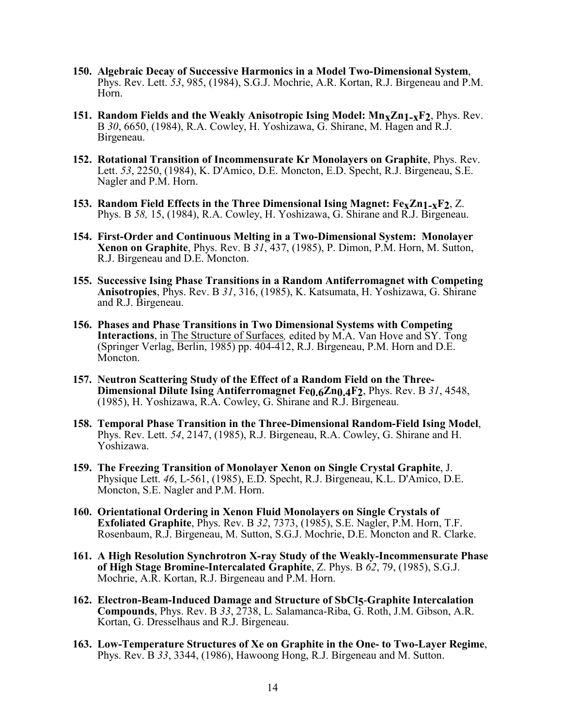- **150. Algebraic Decay of Successive Harmonics in a Model Two-Dimensional System**, Phys. Rev. Lett. *53*, 985, (1984), S.G.J. Mochrie, A.R. Kortan, R.J. Birgeneau and P.M. Horn.
- **151. Random Fields and the Weakly Anisotropic Ising Model: Mn<sub>X</sub>Zn<sub>1-x</sub>F<sub>2</sub>, Phys. Rev.** B *30*, 6650, (1984), R.A. Cowley, H. Yoshizawa, G. Shirane, M. Hagen and R.J. Birgeneau.
- **152. Rotational Transition of Incommensurate Kr Monolayers on Graphite**, Phys. Rev. Lett. *53*, 2250, (1984), K. D'Amico, D.E. Moncton, E.D. Specht, R.J. Birgeneau, S.E. Nagler and P.M. Horn.
- **153. Random Field Effects in the Three Dimensional Ising Magnet: FexZn1-xF2**, Z. Phys. B *58,* 15, (1984), R.A. Cowley, H. Yoshizawa, G. Shirane and R.J. Birgeneau.
- **154. First-Order and Continuous Melting in a Two-Dimensional System: Monolayer Xenon on Graphite**, Phys. Rev. B *31*, 437, (1985), P. Dimon, P.M. Horn, M. Sutton, R.J. Birgeneau and D.E. Moncton.
- **155. Successive Ising Phase Transitions in a Random Antiferromagnet with Competing Anisotropies**, Phys. Rev. B *31*, 316, (1985), K. Katsumata, H. Yoshizawa, G. Shirane and R.J. Birgeneau.
- **156. Phases and Phase Transitions in Two Dimensional Systems with Competing Interactions**, in The Structure of Surfaces*,* edited by M.A. Van Hove and SY. Tong (Springer Verlag, Berlin, 1985) pp. 404-412, R.J. Birgeneau, P.M. Horn and D.E. Moncton.
- **157. Neutron Scattering Study of the Effect of a Random Field on the Three-Dimensional Dilute Ising Antiferromagnet Fe0.6Zn0.4F2**, Phys. Rev. B *31*, 4548, (1985), H. Yoshizawa, R.A. Cowley, G. Shirane and R.J. Birgeneau.
- **158. Temporal Phase Transition in the Three-Dimensional Random-Field Ising Model**, Phys. Rev. Lett. *54*, 2147, (1985), R.J. Birgeneau, R.A. Cowley, G. Shirane and H. Yoshizawa.
- **159. The Freezing Transition of Monolayer Xenon on Single Crystal Graphite**, J. Physique Lett. *46*, L-561, (1985), E.D. Specht, R.J. Birgeneau, K.L. D'Amico, D.E. Moncton, S.E. Nagler and P.M. Horn.
- **160. Orientational Ordering in Xenon Fluid Monolayers on Single Crystals of Exfoliated Graphite**, Phys. Rev. B *<sup>32</sup>*, 7373, (1985), S.E. Nagler, P.M. Horn, T.F. Rosenbaum, R.J. Birgeneau, M. Sutton, S.G.J. Mochrie, D.E. Moncton and R. Clarke.
- **161. A High Resolution Synchrotron X-ray Study of the Weakly-Incommensurate Phase of High Stage Bromine-Intercalated Graphite**, Z. Phys. B *62*, 79, (1985), S.G.J. Mochrie, A.R. Kortan, R.J. Birgeneau and P.M. Horn.
- **162. Electron-Beam-Induced Damage and Structure of SbCl5**-**Graphite Intercalation Compounds**, Phys. Rev. B *33*, 2738, L. Salamanca-Riba, G. Roth, J.M. Gibson, A.R. Kortan, G. Dresselhaus and R.J. Birgeneau.
- **163. Low-Temperature Structures of Xe on Graphite in the One- to Two-Layer Regime**, Phys. Rev. B *33*, 3344, (1986), Hawoong Hong, R.J. Birgeneau and M. Sutton.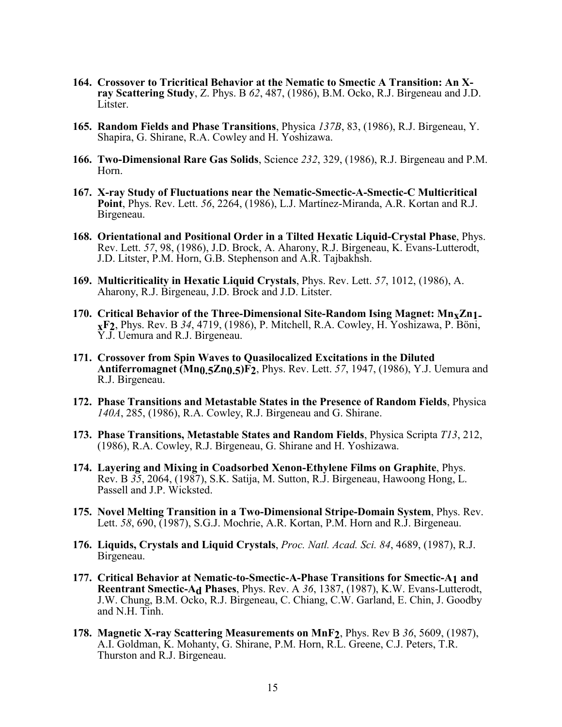- **164. Crossover to Tricritical Behavior at the Nematic to Smectic A Transition: An Xray Scattering Study**, Z. Phys. B *62*, 487, (1986), B.M. Ocko, R.J. Birgeneau and J.D. Litster.
- **165. Random Fields and Phase Transitions**, Physica *137B*, 83, (1986), R.J. Birgeneau, Y. Shapira, G. Shirane, R.A. Cowley and H. Yoshizawa.
- **166. Two-Dimensional Rare Gas Solids**, Science *232*, 329, (1986), R.J. Birgeneau and P.M. Horn.
- **167. X-ray Study of Fluctuations near the Nematic-Smectic-A-Smectic-C Multicritical Point**, Phys. Rev. Lett. *56*, 2264, (1986), L.J. Martínez-Miranda, A.R. Kortan and R.J. Birgeneau.
- **168. Orientational and Positional Order in a Tilted Hexatic Liquid-Crystal Phase**, Phys. Rev. Lett. *57*, 98, (1986), J.D. Brock, A. Aharony, R.J. Birgeneau, K. Evans-Lutterodt, J.D. Litster, P.M. Horn, G.B. Stephenson and A.R. Tajbakhsh.
- **169. Multicriticality in Hexatic Liquid Crystals**, Phys. Rev. Lett. *57*, 1012, (1986), A. Aharony, R.J. Birgeneau, J.D. Brock and J.D. Litster.
- **170. Critical Behavior of the Three-Dimensional Site-Random Ising Magnet: MnxZn1 xF2**, Phys. Rev. B *34*, 4719, (1986), P. Mitchell, R.A. Cowley, H. Yoshizawa, P. Böni, Y.J. Uemura and R.J. Birgeneau.
- **171. Crossover from Spin Waves to Quasilocalized Excitations in the Diluted Antiferromagnet (Mn0.5Zn0.5)F2**, Phys. Rev. Lett. *57*, 1947, (1986), Y.J. Uemura and R.J. Birgeneau.
- **172. Phase Transitions and Metastable States in the Presence of Random Fields**, Physica *140A*, 285, (1986), R.A. Cowley, R.J. Birgeneau and G. Shirane.
- **173. Phase Transitions, Metastable States and Random Fields**, Physica Scripta *T13*, 212, (1986), R.A. Cowley, R.J. Birgeneau, G. Shirane and H. Yoshizawa.
- **174. Layering and Mixing in Coadsorbed Xenon-Ethylene Films on Graphite**, Phys. Rev. B *<sup>35</sup>*, 2064, (1987), S.K. Satija, M. Sutton, R.J. Birgeneau, Hawoong Hong, L. Passell and J.P. Wicksted.
- **175. Novel Melting Transition in a Two-Dimensional Stripe-Domain System**, Phys. Rev. Lett. *58*, 690, (1987), S.G.J. Mochrie, A.R. Kortan, P.M. Horn and R.J. Birgeneau.
- **176. Liquids, Crystals and Liquid Crystals**, *Proc. Natl. Acad. Sci. 84*, 4689, (1987), R.J. Birgeneau.
- **177. Critical Behavior at Nematic-to-Smectic-A-Phase Transitions for Smectic-A1 and Reentrant Smectic-Ad Phases**, Phys. Rev. A *36*, 1387, (1987), K.W. Evans-Lutterodt, J.W. Chung, B.M. Ocko, R.J. Birgeneau, C. Chiang, C.W. Garland, E. Chin, J. Goodby and N.H. Tinh.
- **178. Magnetic X-ray Scattering Measurements on MnF2**, Phys. Rev B *36*, 5609, (1987), A.I. Goldman, K. Mohanty, G. Shirane, P.M. Horn, R.L. Greene, C.J. Peters, T.R. Thurston and R.J. Birgeneau.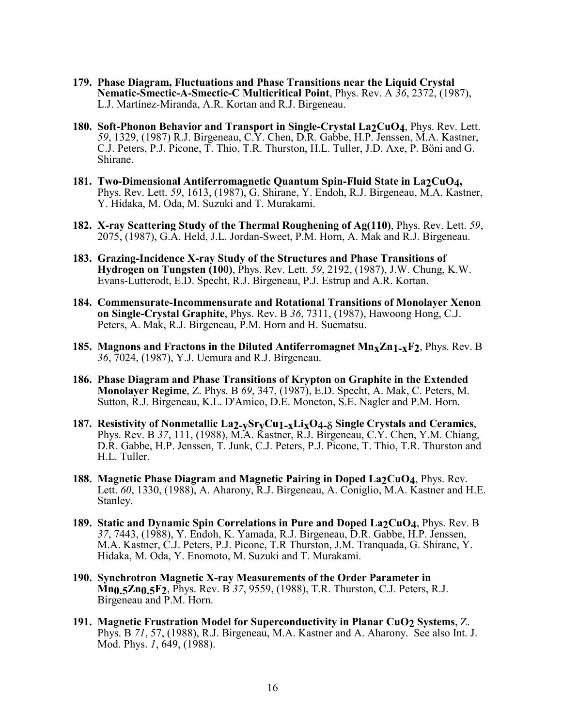- **179. Phase Diagram, Fluctuations and Phase Transitions near the Liquid Crystal Nematic-Smectic-A-Smectic-C Multicritical Point**, Phys. Rev. A *36*, 2372, (1987), L.J. Martínez-Miranda, A.R. Kortan and R.J. Birgeneau.
- **180. Soft-Phonon Behavior and Transport in Single-Crystal La2CuO4**, Phys. Rev. Lett. *59*, 1329, (1987) R.J. Birgeneau, C.Y. Chen, D.R. Gabbe, H.P. Jenssen, M.A. Kastner, C.J. Peters, P.J. Picone, T. Thio, T.R. Thurston, H.L. Tuller, J.D. Axe, P. Böni and G. Shirane.
- **181. Two-Dimensional Antiferromagnetic Quantum Spin-Fluid State in La2CuO4,**  Phys. Rev. Lett. *59*, 1613, (1987), G. Shirane, Y. Endoh, R.J. Birgeneau, M.A. Kastner, Y. Hidaka, M. Oda, M. Suzuki and T. Murakami.
- **182. X-ray Scattering Study of the Thermal Roughening of Ag(110)**, Phys. Rev. Lett. *59*, 2075, (1987), G.A. Held, J.L. Jordan-Sweet, P.M. Horn, A. Mak and R.J. Birgeneau.
- **183. Grazing-Incidence X-ray Study of the Structures and Phase Transitions of Hydrogen on Tungsten (100)**, Phys. Rev. Lett. *59*, 2192, (1987), J.W. Chung, K.W. Evans-Lutterodt, E.D. Specht, R.J. Birgeneau, P.J. Estrup and A.R. Kortan.
- **184. Commensurate-Incommensurate and Rotational Transitions of Monolayer Xenon on Single-Crystal Graphite**, Phys. Rev. B *<sup>36</sup>*, 7311, (1987), Hawoong Hong, C.J. Peters, A. Mak, R.J. Birgeneau, P.M. Horn and H. Suematsu.
- **185. Magnons and Fractons in the Diluted Antiferromagnet Mn<sub>X</sub>Zn<sub>1-X</sub>F<sub>2</sub>, Phys. Rev. B** *36*, 7024, (1987), Y.J. Uemura and R.J. Birgeneau.
- **186. Phase Diagram and Phase Transitions of Krypton on Graphite in the Extended Monolayer Regime**, Z. Phys. B *69*, 347, (1987), E.D. Specht, A. Mak, C. Peters, M. Sutton, R.J. Birgeneau, K.L. D'Amico, D.E. Moncton, S.E. Nagler and P.M. Horn.
- 187. Resistivity of Nonmetallic La2-ySryCu1-xLixO4- $\delta$  Single Crystals and Ceramics,<br>Phys. Rev. B 37, 111, (1988), M.A. Kastner, R.J. Birgeneau, C.Y. Chen, Y.M. Chiang,<br>D.R. Gabbe, H.P. Jenssen, T. Junk, C.J. Peters, P.J. H.L. Tuller.
- **188. Magnetic Phase Diagram and Magnetic Pairing in Doped La2CuO4**, Phys. Rev. Lett. *60*, 1330, (1988), A. Aharony, R.J. Birgeneau, A. Coniglio, M.A. Kastner and H.E. Stanley.
- **189. Static and Dynamic Spin Correlations in Pure and Doped La2CuO4**, Phys. Rev. B *37*, 7443, (1988), Y. Endoh, K. Yamada, R.J. Birgeneau, D.R. Gabbe, H.P. Jenssen, M.A. Kastner, C.J. Peters, P.J. Picone, T.R Thurston, J.M. Tranquada, G. Shirane, Y. Hidaka, M. Oda, Y. Enomoto, M. Suzuki and T. Murakami.
- **190. Synchrotron Magnetic X-ray Measurements of the Order Parameter in Mn0.5Zn0.5F2**, Phys. Rev. B *37*, 9559, (1988), T.R. Thurston, C.J. Peters, R.J. Birgeneau and P.M. Horn.
- **191. Magnetic Frustration Model for Superconductivity in Planar CuO2 Systems**, Z. Phys. B *71*, 57, (1988), R.J. Birgeneau, M.A. Kastner and A. Aharony. See also Int. J. Mod. Phys. *1*, 649, (1988).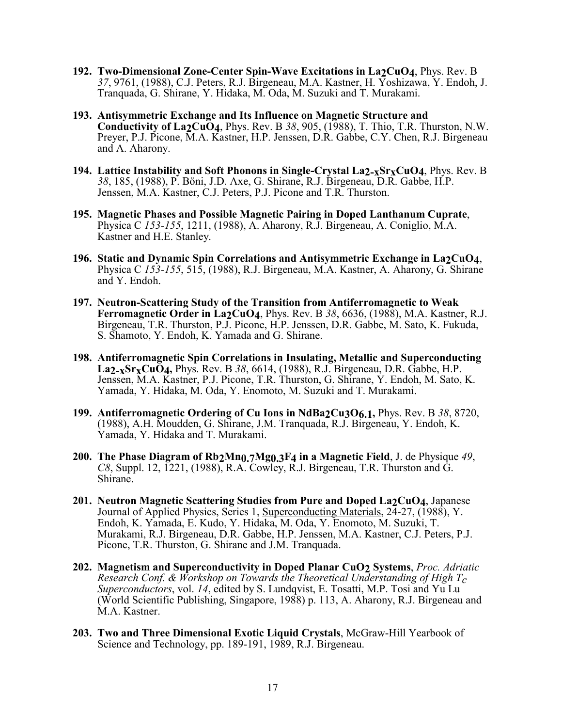- **192. Two-Dimensional Zone-Center Spin-Wave Excitations in La2CuO4**, Phys. Rev. B *37*, 9761, (1988), C.J. Peters, R.J. Birgeneau, M.A. Kastner, H. Yoshizawa, Y. Endoh, J. Tranquada, G. Shirane, Y. Hidaka, M. Oda, M. Suzuki and T. Murakami.
- **193. Antisymmetric Exchange and Its Influence on Magnetic Structure and Conductivity of La2CuO4**, Phys. Rev. B *38*, 905, (1988), T. Thio, T.R. Thurston, N.W. Preyer, P.J. Picone, M.A. Kastner, H.P. Jenssen, D.R. Gabbe, C.Y. Chen, R.J. Birgeneau and A. Aharony.
- **194. Lattice Instability and Soft Phonons in Single-Crystal La<sub>2-x</sub>Sr<sub>x</sub>CuO<sub>4</sub>, Phys. Rev. B** *38*, 185, (1988), P. Böni, J.D. Axe, G. Shirane, R.J. Birgeneau, D.R. Gabbe, H.P. Jenssen, M.A. Kastner, C.J. Peters, P.J. Picone and T.R. Thurston.
- **195. Magnetic Phases and Possible Magnetic Pairing in Doped Lanthanum Cuprate**, Physica C *153-155*, 1211, (1988), A. Aharony, R.J. Birgeneau, A. Coniglio, M.A. Kastner and H.E. Stanley.
- **196. Static and Dynamic Spin Correlations and Antisymmetric Exchange in La2CuO4**, Physica C *153-155*, 515, (1988), R.J. Birgeneau, M.A. Kastner, A. Aharony, G. Shirane and Y. Endoh.
- **197. Neutron-Scattering Study of the Transition from Antiferromagnetic to Weak Ferromagnetic Order in La2CuO4**, Phys. Rev. B *<sup>38</sup>*, 6636, (1988), M.A. Kastner, R.J. Birgeneau, T.R. Thurston, P.J. Picone, H.P. Jenssen, D.R. Gabbe, M. Sato, K. Fukuda, S. Shamoto, Y. Endoh, K. Yamada and G. Shirane.
- **198. Antiferromagnetic Spin Correlations in Insulating, Metallic and Superconducting La2-xSrxCuO4,** Phys. Rev. B *38*, 6614, (1988), R.J. Birgeneau, D.R. Gabbe, H.P. Jenssen, M.A. Kastner, P.J. Picone, T.R. Thurston, G. Shirane, Y. Endoh, M. Sato, K. Yamada, Y. Hidaka, M. Oda, Y. Enomoto, M. Suzuki and T. Murakami.
- **199. Antiferromagnetic Ordering of Cu Ions in NdBa2Cu3O6.1,** Phys. Rev. B *38*, 8720, (1988), A.H. Moudden, G. Shirane, J.M. Tranquada, R.J. Birgeneau, Y. Endoh, K. Yamada, Y. Hidaka and T. Murakami.
- **200. The Phase Diagram of Rb2Mn0.7Mg0.3F4 in a Magnetic Field**, J. de Physique *49*, *C8*, Suppl. 12, 1221, (1988), R.A. Cowley, R.J. Birgeneau, T.R. Thurston and G. Shirane.
- **201. Neutron Magnetic Scattering Studies from Pure and Doped La2CuO4**, Japanese Journal of Applied Physics, Series 1, Superconducting Materials, 24-27, (1988), Y. Endoh, K. Yamada, E. Kudo, Y. Hidaka, M. Oda, Y. Enomoto, M. Suzuki, T. Murakami, R.J. Birgeneau, D.R. Gabbe, H.P. Jenssen, M.A. Kastner, C.J. Peters, P.J. Picone, T.R. Thurston, G. Shirane and J.M. Tranquada.
- **202. Magnetism and Superconductivity in Doped Planar CuO2 Systems**, *Proc. Adriatic Research Conf. & Workshop on Towards the Theoretical Understanding of High Tc Superconductors*, vol. *14*, edited by S. Lundqvist, E. Tosatti, M.P. Tosi and Yu Lu (World Scientific Publishing, Singapore, 1988) p. 113, A. Aharony, R.J. Birgeneau and M.A. Kastner.
- **203. Two and Three Dimensional Exotic Liquid Crystals**, McGraw-Hill Yearbook of Science and Technology, pp. 189-191, 1989, R.J. Birgeneau.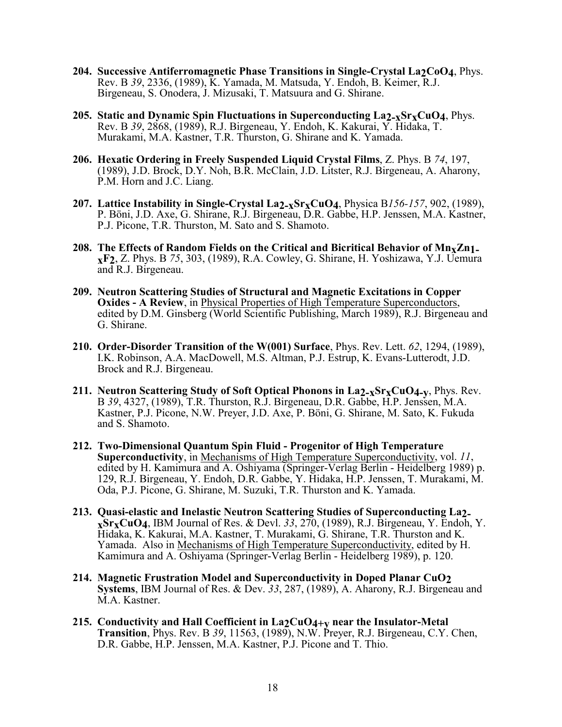- **204. Successive Antiferromagnetic Phase Transitions in Single-Crystal La2CoO4**, Phys. Rev. B *39*, 2336, (1989), K. Yamada, M. Matsuda, Y. Endoh, B. Keimer, R.J. Birgeneau, S. Onodera, J. Mizusaki, T. Matsuura and G. Shirane.
- **205. Static and Dynamic Spin Fluctuations in Superconducting La2-xSrxCuO4**, Phys. Rev. B *39*, 2868, (1989), R.J. Birgeneau, Y. Endoh, K. Kakurai, Y. Hidaka, T. Murakami, M.A. Kastner, T.R. Thurston, G. Shirane and K. Yamada.
- **206. Hexatic Ordering in Freely Suspended Liquid Crystal Films**, Z. Phys. B *74*, 197, (1989), J.D. Brock, D.Y. Noh, B.R. McClain, J.D. Litster, R.J. Birgeneau, A. Aharony, P.M. Horn and J.C. Liang.
- **207. Lattice Instability in Single-Crystal La2-xSrxCuO4**, Physica B*156-157*, 902, (1989), P. Böni, J.D. Axe, G. Shirane, R.J. Birgeneau, D.R. Gabbe, H.P. Jenssen, M.A. Kastner, P.J. Picone, T.R. Thurston, M. Sato and S. Shamoto.
- **208. The Effects of Random Fields on the Critical and Bicritical Behavior of MnxZn1 xF2**, Z. Phys. B *75*, 303, (1989), R.A. Cowley, G. Shirane, H. Yoshizawa, Y.J. Uemura and R.J. Birgeneau.
- **209. Neutron Scattering Studies of Structural and Magnetic Excitations in Copper Oxides - A Review**, in <u>Physical Properties of High Temperature Superconductors,</u> edited by D.M. Ginsberg (World Scientific Publishing, March 1989), R.J. Birgeneau and G. Shirane.
- **210. Order-Disorder Transition of the W(001) Surface**, Phys. Rev. Lett. *62*, 1294, (1989), I.K. Robinson, A.A. MacDowell, M.S. Altman, P.J. Estrup, K. Evans-Lutterodt, J.D. Brock and R.J. Birgeneau.
- **211. Neutron Scattering Study of Soft Optical Phonons in La2-xSrxCuO4-y**, Phys. Rev. B *39*, 4327, (1989), T.R. Thurston, R.J. Birgeneau, D.R. Gabbe, H.P. Jenssen, M.A. Kastner, P.J. Picone, N.W. Preyer, J.D. Axe, P. Böni, G. Shirane, M. Sato, K. Fukuda and S. Shamoto.
- **212. Two-Dimensional Quantum Spin Fluid Progenitor of High Temperature Superconductivity**, in Mechanisms of High Temperature Superconductivity, vol. *11*, edited by H. Kamimura and A. Oshiyama (Springer-Verlag Berlin - Heidelberg 1989) p. 129, R.J. Birgeneau, Y. Endoh, D.R. Gabbe, Y. Hidaka, H.P. Jenssen, T. Murakami, M. Oda, P.J. Picone, G. Shirane, M. Suzuki, T.R. Thurston and K. Yamada.
- **213. Quasi-elastic and Inelastic Neutron Scattering Studies of Superconducting La2 xSrxCuO4**, IBM Journal of Res. & Devl. *33*, 270, (1989), R.J. Birgeneau, Y. Endoh, Y. Hidaka, K. Kakurai, M.A. Kastner, T. Murakami, G. Shirane, T.R. Thurston and K. Yamada. Also in Mechanisms of High Temperature Superconductivity, edited by H. Kamimura and A. Oshiyama (Springer-Verlag Berlin - Heidelberg 1989), p. 120.
- **214. Magnetic Frustration Model and Superconductivity in Doped Planar CuO2 Systems**, IBM Journal of Res. & Dev. *33*, 287, (1989), A. Aharony, R.J. Birgeneau and M.A. Kastner.
- **215. Conductivity and Hall Coefficient in La2CuO4+y near the Insulator-Metal Transition**, Phys. Rev. B *39*, 11563, (1989), N.W. Preyer, R.J. Birgeneau, C.Y. Chen, D.R. Gabbe, H.P. Jenssen, M.A. Kastner, P.J. Picone and T. Thio.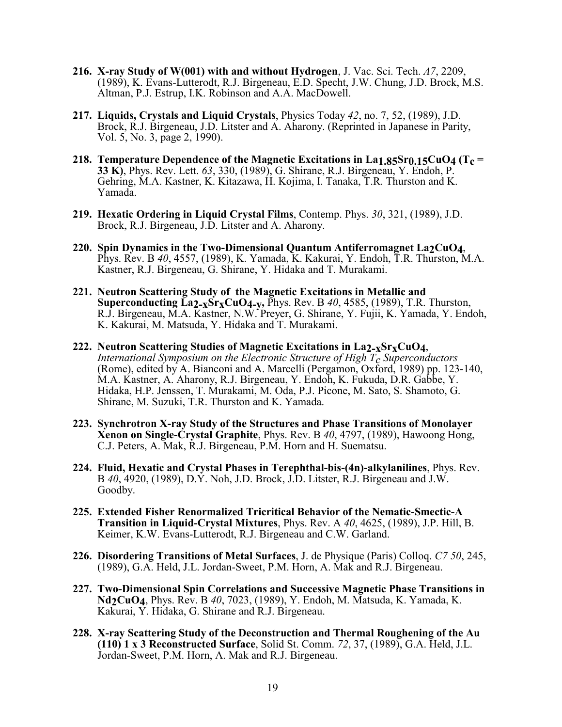- **216. X-ray Study of W(001) with and without Hydrogen**, J. Vac. Sci. Tech. *A7*, 2209, (1989), K. Evans-Lutterodt, R.J. Birgeneau, E.D. Specht, J.W. Chung, J.D. Brock, M.S. Altman, P.J. Estrup, I.K. Robinson and A.A. MacDowell.
- **217. Liquids, Crystals and Liquid Crystals**, Physics Today *42*, no. 7, 52, (1989), J.D. Brock, R.J. Birgeneau, J.D. Litster and A. Aharony. (Reprinted in Japanese in Parity, Vol. 5, No. 3, page 2, 1990).
- **218. Temperature Dependence of the Magnetic Excitations in La1.85Sr0.15CuO4 (Tc = 33 K)**, Phys. Rev. Lett. *63*, 330, (1989), G. Shirane, R.J. Birgeneau, Y. Endoh, P. Gehring, M.A. Kastner, K. Kitazawa, H. Kojima, I. Tanaka, T.R. Thurston and K. Yamada.
- **219. Hexatic Ordering in Liquid Crystal Films**, Contemp. Phys. *30*, 321, (1989), J.D. Brock, R.J. Birgeneau, J.D. Litster and A. Aharony.
- **220. Spin Dynamics in the Two-Dimensional Quantum Antiferromagnet La2CuO4**, Phys. Rev. B *40*, 4557, (1989), K. Yamada, K. Kakurai, Y. Endoh, T.R. Thurston, M.A. Kastner, R.J. Birgeneau, G. Shirane, Y. Hidaka and T. Murakami.
- **221. Neutron Scattering Study of the Magnetic Excitations in Metallic and Superconducting La2-xSrxCuO4-y,** Phys. Rev. B *40*, 4585, (1989), T.R. Thurston, R.J. Birgeneau, M.A. Kastner, N.W. Preyer, G. Shirane, Y. Fujii, K. Yamada, Y. Endoh, K. Kakurai, M. Matsuda, Y. Hidaka and T. Murakami.
- **222. Neutron Scattering Studies of Magnetic Excitations in La2-xSrxCuO4**, *International Symposium on the Electronic Structure of High Tc Superconductors* (Rome), edited by A. Bianconi and A. Marcelli (Pergamon, Oxford, 1989) pp. 123-140, M.A. Kastner, A. Aharony, R.J. Birgeneau, Y. Endoh, K. Fukuda, D.R. Gabbe, Y. Hidaka, H.P. Jenssen, T. Murakami, M. Oda, P.J. Picone, M. Sato, S. Shamoto, G. Shirane, M. Suzuki, T.R. Thurston and K. Yamada.
- **223. Synchrotron X-ray Study of the Structures and Phase Transitions of Monolayer Xenon on Single-Crystal Graphite**, Phys. Rev. B *<sup>40</sup>*, 4797, (1989), Hawoong Hong, C.J. Peters, A. Mak, R.J. Birgeneau, P.M. Horn and H. Suematsu.
- **224. Fluid, Hexatic and Crystal Phases in Terephthal-bis-(4n)-alkylanilines**, Phys. Rev. <sup>B</sup>*40*, 4920, (1989), D.Y. Noh, J.D. Brock, J.D. Litster, R.J. Birgeneau and J.W. Goodby.
- **225. Extended Fisher Renormalized Tricritical Behavior of the Nematic-Smectic-A Transition in Liquid-Crystal Mixtures**, Phys. Rev. A *40*, 4625, (1989), J.P. Hill, B. Keimer, K.W. Evans-Lutterodt, R.J. Birgeneau and C.W. Garland.
- **226. Disordering Transitions of Metal Surfaces**, J. de Physique (Paris) Colloq. *C7 50*, 245, (1989), G.A. Held, J.L. Jordan-Sweet, P.M. Horn, A. Mak and R.J. Birgeneau.
- **227. Two-Dimensional Spin Correlations and Successive Magnetic Phase Transitions in Nd2CuO4**, Phys. Rev. B *40*, 7023, (1989), Y. Endoh, M. Matsuda, K. Yamada, K. Kakurai, Y. Hidaka, G. Shirane and R.J. Birgeneau.
- **228. X-ray Scattering Study of the Deconstruction and Thermal Roughening of the Au (110) 1 x 3 Reconstructed Surface**, Solid St. Comm. *72*, 37, (1989), G.A. Held, J.L. Jordan-Sweet, P.M. Horn, A. Mak and R.J. Birgeneau.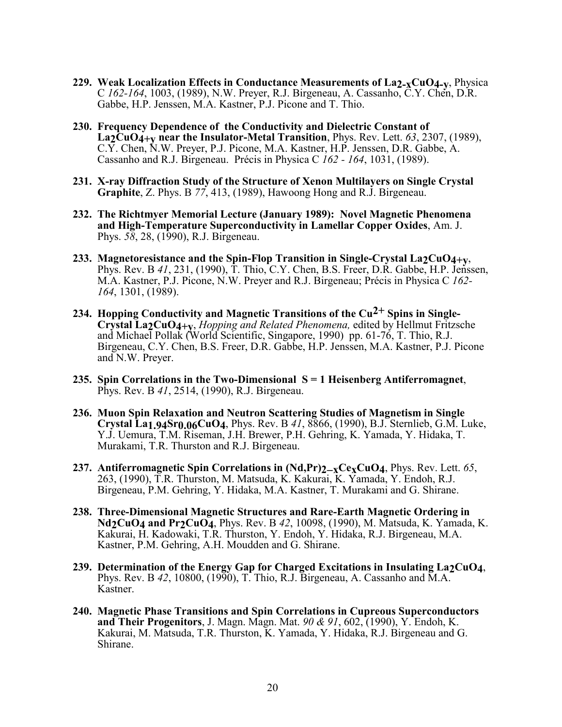- **229. Weak Localization Effects in Conductance Measurements of La2-xCuO4-y**, Physica C *162-164*, 1003, (1989), N.W. Preyer, R.J. Birgeneau, A. Cassanho, C.Y. Chen, D.R. Gabbe, H.P. Jenssen, M.A. Kastner, P.J. Picone and T. Thio.
- **230. Frequency Dependence of the Conductivity and Dielectric Constant of La2CuO4+y near the Insulator-Metal Transition**, Phys. Rev. Lett. *63*, 2307, (1989), C.Y. Chen, N.W. Preyer, P.J. Picone, M.A. Kastner, H.P. Jenssen, D.R. Gabbe, A. Cassanho and R.J. Birgeneau. Précis in Physica C *162 - 164*, 1031, (1989).
- **231. X-ray Diffraction Study of the Structure of Xenon Multilayers on Single Crystal Graphite**, Z. Phys. B *77*, 413, (1989), Hawoong Hong and R.J. Birgeneau.
- **232. The Richtmyer Memorial Lecture (January 1989): Novel Magnetic Phenomena and High-Temperature Superconductivity in Lamellar Copper Oxides**, Am. J. Phys. *58*, 28, (1990), R.J. Birgeneau.
- **233. Magnetoresistance and the Spin-Flop Transition in Single-Crystal La2CuO4+y**, Phys. Rev. B *<sup>41</sup>*, 231, (1990), T. Thio, C.Y. Chen, B.S. Freer, D.R. Gabbe, H.P. Jenssen, M.A. Kastner, P.J. Picone, N.W. Preyer and R.J. Birgeneau; Précis in Physica C *162- 164*, 1301, (1989).
- **234. Hopping Conductivity and Magnetic Transitions of the Cu<sup>2+</sup> Spins in Single-<br>Crystal La2CuO4+y,** *Hopping and Related Phenomena***, edited by Hellmut Fritzsche<br>and Michael Pollak (World Scientific, Singapore, 1990) pp.** Birgeneau, C.Y. Chen, B.S. Freer, D.R. Gabbe, H.P. Jenssen, M.A. Kastner, P.J. Picone and N.W. Preyer.
- **235. Spin Correlations in the Two-Dimensional S = 1 Heisenberg Antiferromagnet**, Phys. Rev. B *<sup>41</sup>*, 2514, (1990), R.J. Birgeneau.
- **236. Muon Spin Relaxation and Neutron Scattering Studies of Magnetism in Single Crystal La1.94Sr0.06CuO4**, Phys. Rev. B *41*, 8866, (1990), B.J. Sternlieb, G.M. Luke, Y.J. Uemura, T.M. Riseman, J.H. Brewer, P.H. Gehring, K. Yamada, Y. Hidaka, T. Murakami, T.R. Thurston and R.J. Birgeneau.
- 237. Antiferromagnetic Spin Correlations in (Nd,Pr)2-xCexCuO4, Phys. Rev. Lett. 65,<br>263, (1990), T.R. Thurston, M. Matsuda, K. Kakurai, K. Yamada, Y. Endoh, R.J.<br>Birgeneau, P.M. Gehring, Y. Hidaka, M.A. Kastner, T. Murakam
- **238. Three-Dimensional Magnetic Structures and Rare-Earth Magnetic Ordering in Nd2CuO4 and Pr2CuO4**, Phys. Rev. B *42*, 10098, (1990), M. Matsuda, K. Yamada, K. Kakurai, H. Kadowaki, T.R. Thurston, Y. Endoh, Y. Hidaka, R.J. Birgeneau, M.A. Kastner, P.M. Gehring, A.H. Moudden and G. Shirane.
- **239. Determination of the Energy Gap for Charged Excitations in Insulating La2CuO4**, Phys. Rev. B *42*, 10800, (1990), T. Thio, R.J. Birgeneau, A. Cassanho and M.A. Kastner.
- **240. Magnetic Phase Transitions and Spin Correlations in Cupreous Superconductors and Their Progenitors**, J. Magn. Magn. Mat. *90 & 91*, 602, (1990), Y. Endoh, K. Kakurai, M. Matsuda, T.R. Thurston, K. Yamada, Y. Hidaka, R.J. Birgeneau and G. Shirane.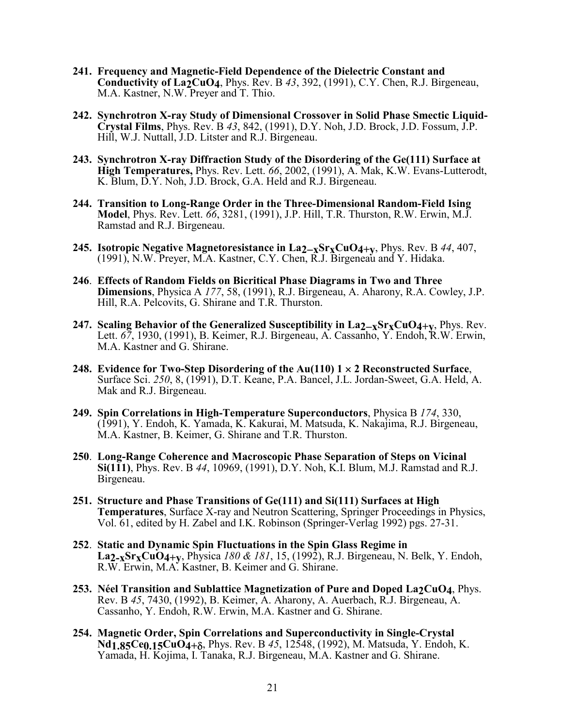- **241. Frequency and Magnetic-Field Dependence of the Dielectric Constant and Conductivity of La2CuO4**, Phys. Rev. B *43*, 392, (1991), C.Y. Chen, R.J. Birgeneau, M.A. Kastner, N.W. Preyer and T. Thio.
- **242. Synchrotron X-ray Study of Dimensional Crossover in Solid Phase Smectic Liquid-Crystal Films**, Phys. Rev. B *43*, 842, (1991), D.Y. Noh, J.D. Brock, J.D. Fossum, J.P. Hill, W.J. Nuttall, J.D. Litster and R.J. Birgeneau.
- **243. Synchrotron X-ray Diffraction Study of the Disordering of the Ge(111) Surface at High Temperatures,** Phys. Rev. Lett. *66*, 2002, (1991), A. Mak, K.W. Evans-Lutterodt, K. Blum, D.Y. Noh, J.D. Brock, G.A. Held and R.J. Birgeneau.
- **244. Transition to Long-Range Order in the Three-Dimensional Random-Field Ising Model**, Phys. Rev. Lett. *66*, 3281, (1991), J.P. Hill, T.R. Thurston, R.W. Erwin, M.J. Ramstad and R.J. Birgeneau.
- **245.** Isotropic Negative Magnetoresistance in  $\text{La2-xSr}_{X}\text{CuO4+v}$ , Phys. Rev. B 44, 407, (1991), N.W. Preyer, M.A. Kastner, C.Y. Chen, R.J. Birgeneau and Y. Hidaka.
- **246**. **Effects of Random Fields on Bicritical Phase Diagrams in Two and Three Dimensions**, Physica A *177*, 58, (1991), R.J. Birgeneau, A. Aharony, R.A. Cowley, J.P. Hill, R.A. Pelcovits, G. Shirane and T.R. Thurston.
- **247. Scaling Behavior of the Generalized Susceptibility in La<sub>2</sub><sub>-x</sub>Sr<sub>x</sub>CuO<sub>4+v</sub>, Phys. Rev.** Lett. *67*, 1930, (1991), B. Keimer, R.J. Birgeneau, A. Cassanho, Y. Endoh, R.W. Erwin, M.A. Kastner and G. Shirane.
- **248. Evidence for Two-Step Disordering of the Au(110) 1 2 Reconstructed Surface**, Surface Sci. *<sup>250</sup>*, 8, (1991), D.T. Keane, P.A. Bancel, J.L. Jordan-Sweet, G.A. Held, A. Mak and R.J. Birgeneau.
- **249. Spin Correlations in High-Temperature Superconductors**, Physica B *174*, 330, (1991), Y. Endoh, K. Yamada, K. Kakurai, M. Matsuda, K. Nakajima, R.J. Birgeneau, M.A. Kastner, B. Keimer, G. Shirane and T.R. Thurston.
- **250**. **Long-Range Coherence and Macroscopic Phase Separation of Steps on Vicinal Si(111)**, Phys. Rev. B *<sup>44</sup>*, 10969, (1991), D.Y. Noh, K.I. Blum, M.J. Ramstad and R.J. Birgeneau.
- **251. Structure and Phase Transitions of Ge(111) and Si(111) Surfaces at High Temperatures**, Surface X-ray and Neutron Scattering, Springer Proceedings in Physics, Vol. 61, edited by H. Zabel and I.K. Robinson (Springer-Verlag 1992) pgs. 27-31.
- **252**. **Static and Dynamic Spin Fluctuations in the Spin Glass Regime in La2-xSrxCuO4+y**, Physica *180 & 181*, 15, (1992), R.J. Birgeneau, N. Belk, Y. Endoh, R.W. Erwin, M.A. Kastner, B. Keimer and G. Shirane.
- **253. Néel Transition and Sublattice Magnetization of Pure and Doped La2CuO4**, Phys. Rev. B *45*, 7430, (1992), B. Keimer, A. Aharony, A. Auerbach, R.J. Birgeneau, A. Cassanho, Y. Endoh, R.W. Erwin, M.A. Kastner and G. Shirane.
- **254. Magnetic Order, Spin Correlations and Superconductivity in Single-Crystal Nd<sub>1.85</sub>Ce<sub>0.15</sub>CuO<sub>4+δ</sub>**, Phys. Rev. B 45, 12548, (1992), M. Matsuda, Y. Endoh, K. Yamada, H. Kojima, I. Tanaka, R.J. Birgeneau, M.A. Kastner and G. Shirane.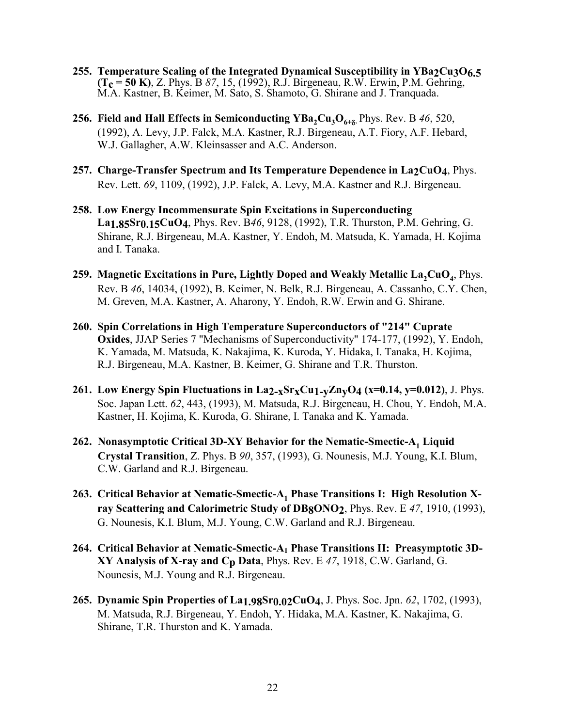- **255. Temperature Scaling of the Integrated Dynamical Susceptibility in YBa2Cu3O6.5 (Tc = 50 K)**, Z. Phys. B *87*, 15, (1992), R.J. Birgeneau, R.W. Erwin, P.M. Gehring, M.A. Kastner, B. Keimer, M. Sato, S. Shamoto, G. Shirane and J. Tranquada.
- **256. Field and Hall Effects in Semiconducting**  $YBa_2Cu_3O_{6+8}$ **, Phys. Rev. B 46, 520,** (1992), A. Levy, J.P. Falck, M.A. Kastner, R.J. Birgeneau, A.T. Fiory, A.F. Hebard, W.J. Gallagher, A.W. Kleinsasser and A.C. Anderson.
- 257. Charge-Transfer Spectrum and Its Temperature Dependence in La<sub>2</sub>CuO<sub>4</sub>, Phys. Rev. Lett. *69*, 1109, (1992), J.P. Falck, A. Levy, M.A. Kastner and R.J. Birgeneau.
- **258. Low Energy Incommensurate Spin Excitations in Superconducting La1.85Sr0.15CuO4**, Phys. Rev. B*46*, 9128, (1992), T.R. Thurston, P.M. Gehring, G. Shirane, R.J. Birgeneau, M.A. Kastner, Y. Endoh, M. Matsuda, K. Yamada, H. Kojima and I. Tanaka.
- 259. Magnetic Excitations in Pure, Lightly Doped and Weakly Metallic La<sub>2</sub>CuO<sub>4</sub>, Phys. Rev. B *46*, 14034, (1992), B. Keimer, N. Belk, R.J. Birgeneau, A. Cassanho, C.Y. Chen, M. Greven, M.A. Kastner, A. Aharony, Y. Endoh, R.W. Erwin and G. Shirane.
- **260. Spin Correlations in High Temperature Superconductors of "214" Cuprate Oxides**, JJAP Series 7 "Mechanisms of Superconductivity" 174-177, (1992), Y. Endoh, K. Yamada, M. Matsuda, K. Nakajima, K. Kuroda, Y. Hidaka, I. Tanaka, H. Kojima, R.J. Birgeneau, M.A. Kastner, B. Keimer, G. Shirane and T.R. Thurston.
- **261. Low Energy Spin Fluctuations in La2-xSrxCu1-yZnyO4 (x=0.14, y=0.012)**, J. Phys. Soc. Japan Lett. *62*, 443, (1993), M. Matsuda, R.J. Birgeneau, H. Chou, Y. Endoh, M.A. Kastner, H. Kojima, K. Kuroda, G. Shirane, I. Tanaka and K. Yamada.
- 262. Nonasymptotic Critical 3D-XY Behavior for the Nematic-Smectic-A<sub>1</sub> Liquid **Crystal Transition**, Z. Phys. B *90*, 357, (1993), G. Nounesis, M.J. Young, K.I. Blum, C.W. Garland and R.J. Birgeneau.
- 263. Critical Behavior at Nematic-Smectic-A<sub>1</sub> Phase Transitions I: High Resolution X**ray Scattering and Calorimetric Study of DB8ONO2**, Phys. Rev. E *47*, 1910, (1993), G. Nounesis, K.I. Blum, M.J. Young, C.W. Garland and R.J. Birgeneau.
- 264. Critical Behavior at Nematic-Smectic-A<sub>1</sub> Phase Transitions II: Preasymptotic 3D-**XY Analysis of X-ray and Cp Data**, Phys. Rev. E *47*, 1918, C.W. Garland, G. Nounesis, M.J. Young and R.J. Birgeneau.
- **265. Dynamic Spin Properties of La1.98Sr0.02CuO4**, J. Phys. Soc. Jpn. *62*, 1702, (1993), M. Matsuda, R.J. Birgeneau, Y. Endoh, Y. Hidaka, M.A. Kastner, K. Nakajima, G. Shirane, T.R. Thurston and K. Yamada.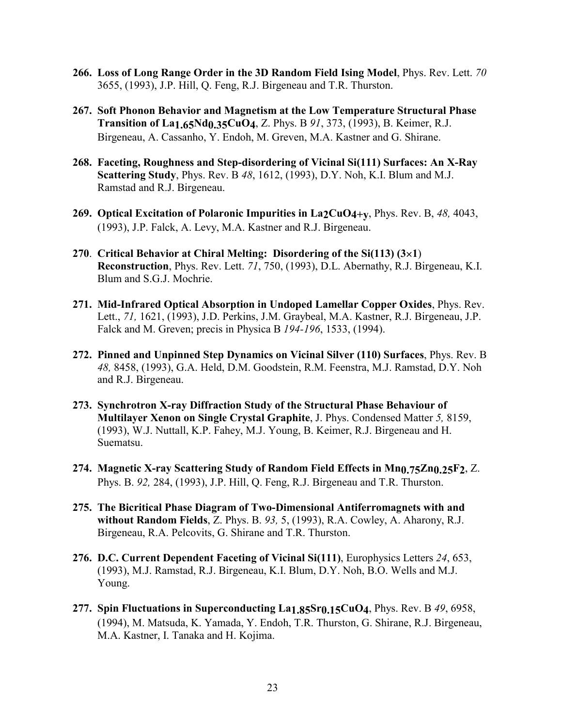- **266. Loss of Long Range Order in the 3D Random Field Ising Model**, Phys. Rev. Lett. *70*  3655, (1993), J.P. Hill, Q. Feng, R.J. Birgeneau and T.R. Thurston.
- **267. Soft Phonon Behavior and Magnetism at the Low Temperature Structural Phase Transition of La1.65Nd0.35CuO4**, Z. Phys. B *91*, 373, (1993), B. Keimer, R.J. Birgeneau, A. Cassanho, Y. Endoh, M. Greven, M.A. Kastner and G. Shirane.
- **268. Faceting, Roughness and Step-disordering of Vicinal Si(111) Surfaces: An X-Ray Scattering Study**, Phys. Rev. B *48*, 1612, (1993), D.Y. Noh, K.I. Blum and M.J. Ramstad and R.J. Birgeneau.
- **269. Optical Excitation of Polaronic Impurities in La2CuO4+y**, Phys. Rev. B, *48,* 4043, (1993), J.P. Falck, A. Levy, M.A. Kastner and R.J. Birgeneau.
- **270**. **Critical Behavior at Chiral Melting: Disordering of the Si(113) (31**) **Reconstruction**, Phys. Rev. Lett. *71*, 750, (1993), D.L. Abernathy, R.J. Birgeneau, K.I. Blum and S.G.J. Mochrie.
- **271. Mid-Infrared Optical Absorption in Undoped Lamellar Copper Oxides**, Phys. Rev. Lett., *71,* 1621, (1993), J.D. Perkins, J.M. Graybeal, M.A. Kastner, R.J. Birgeneau, J.P. Falck and M. Greven; precis in Physica B *194-196*, 1533, (1994).
- **272. Pinned and Unpinned Step Dynamics on Vicinal Silver (110) Surfaces**, Phys. Rev. B *48,* 8458, (1993), G.A. Held, D.M. Goodstein, R.M. Feenstra, M.J. Ramstad, D.Y. Noh and R.J. Birgeneau.
- **273. Synchrotron X-ray Diffraction Study of the Structural Phase Behaviour of Multilayer Xenon on Single Crystal Graphite**, J. Phys. Condensed Matter *5,* 8159, (1993), W.J. Nuttall, K.P. Fahey, M.J. Young, B. Keimer, R.J. Birgeneau and H. Suematsu.
- **274. Magnetic X-ray Scattering Study of Random Field Effects in Mn0.75Zn0.25F2**, Z. Phys. B. *92,* 284, (1993), J.P. Hill, Q. Feng, R.J. Birgeneau and T.R. Thurston.
- **275. The Bicritical Phase Diagram of Two-Dimensional Antiferromagnets with and without Random Fields**, Z. Phys. B. *93,* 5, (1993), R.A. Cowley, A. Aharony, R.J. Birgeneau, R.A. Pelcovits, G. Shirane and T.R. Thurston.
- **276. D.C. Current Dependent Faceting of Vicinal Si(111)**, Europhysics Letters *24*, 653, (1993), M.J. Ramstad, R.J. Birgeneau, K.I. Blum, D.Y. Noh, B.O. Wells and M.J. Young.
- **277. Spin Fluctuations in Superconducting La1.85Sr0.15CuO4**, Phys. Rev. B *49*, 6958, (1994), M. Matsuda, K. Yamada, Y. Endoh, T.R. Thurston, G. Shirane, R.J. Birgeneau, M.A. Kastner, I. Tanaka and H. Kojima.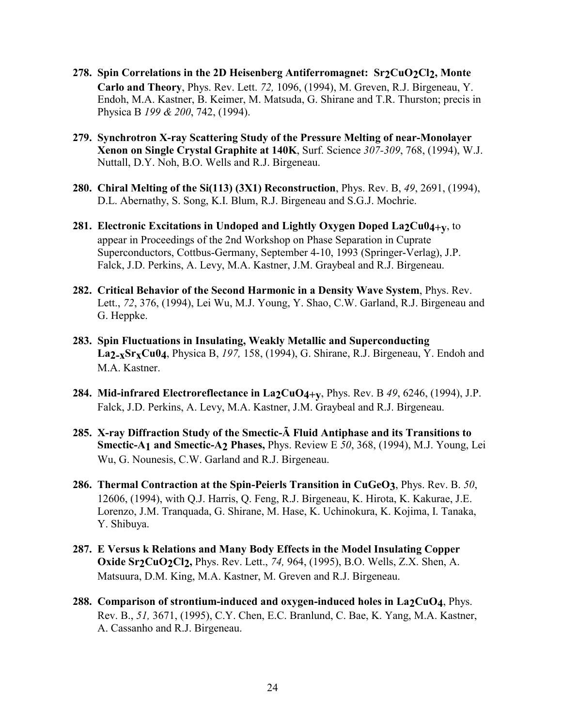- **278. Spin Correlations in the 2D Heisenberg Antiferromagnet: Sr2CuO2Cl2, Monte Carlo and Theory**, Phys. Rev. Lett. *72,* 1096, (1994), M. Greven, R.J. Birgeneau, Y. Endoh, M.A. Kastner, B. Keimer, M. Matsuda, G. Shirane and T.R. Thurston; precis in Physica B *199 & 200*, 742, (1994).
- **279. Synchrotron X-ray Scattering Study of the Pressure Melting of near-Monolayer Xenon on Single Crystal Graphite at 140K**, Surf. Science *307-309*, 768, (1994), W.J. Nuttall, D.Y. Noh, B.O. Wells and R.J. Birgeneau.
- **280. Chiral Melting of the Si(113) (3X1) Reconstruction**, Phys. Rev. B, *49*, 2691, (1994), D.L. Abernathy, S. Song, K.I. Blum, R.J. Birgeneau and S.G.J. Mochrie.
- **281. Electronic Excitations in Undoped and Lightly Oxygen Doped La2Cu04+y, to** appear in Proceedings of the 2nd Workshop on Phase Separation in Cuprate Superconductors, Cottbus-Germany, September 4-10, 1993 (Springer-Verlag), J.P. Falck, J.D. Perkins, A. Levy, M.A. Kastner, J.M. Graybeal and R.J. Birgeneau.
- **282. Critical Behavior of the Second Harmonic in a Density Wave System**, Phys. Rev. Lett., *72*, 376, (1994), Lei Wu, M.J. Young, Y. Shao, C.W. Garland, R.J. Birgeneau and G. Heppke.
- **283. Spin Fluctuations in Insulating, Weakly Metallic and Superconducting La2-xSrxCu04**, Physica B, *197,* 158, (1994), G. Shirane, R.J. Birgeneau, Y. Endoh and M.A. Kastner.
- **284. Mid-infrared Electroreflectance in La2CuO4+y**, Phys. Rev. B *49*, 6246, (1994), J.P. Falck, J.D. Perkins, A. Levy, M.A. Kastner, J.M. Graybeal and R.J. Birgeneau.
- **285. X-ray Diffraction Study of the Smectic-Ã Fluid Antiphase and its Transitions to Smectic-A1 and Smectic-A2 Phases,** Phys. Review E *50*, 368, (1994), M.J. Young, Lei Wu, G. Nounesis, C.W. Garland and R.J. Birgeneau.
- **286. Thermal Contraction at the Spin-Peierls Transition in CuGeO3**, Phys. Rev. B. *50*, 12606, (1994), with Q.J. Harris, Q. Feng, R.J. Birgeneau, K. Hirota, K. Kakurae, J.E. Lorenzo, J.M. Tranquada, G. Shirane, M. Hase, K. Uchinokura, K. Kojima, I. Tanaka, Y. Shibuya.
- **287. E Versus k Relations and Many Body Effects in the Model Insulating Copper Oxide Sr2CuO2Cl2,** Phys. Rev. Lett., *74,* 964, (1995), B.O. Wells, Z.X. Shen, A. Matsuura, D.M. King, M.A. Kastner, M. Greven and R.J. Birgeneau.
- 288. Comparison of strontium-induced and oxygen-induced holes in La2CuO<sub>4</sub>, Phys. Rev. B., *51,* 3671, (1995), C.Y. Chen, E.C. Branlund, C. Bae, K. Yang, M.A. Kastner, A. Cassanho and R.J. Birgeneau.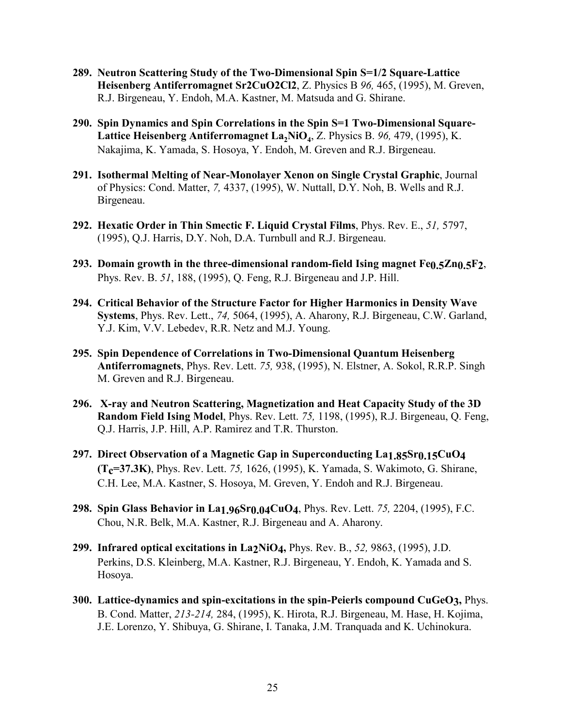- **289. Neutron Scattering Study of the Two-Dimensional Spin S=1/2 Square-Lattice Heisenberg Antiferromagnet Sr2CuO2Cl2**, Z. Physics B *96,* 465, (1995), M. Greven, R.J. Birgeneau, Y. Endoh, M.A. Kastner, M. Matsuda and G. Shirane.
- **290. Spin Dynamics and Spin Correlations in the Spin S=1 Two-Dimensional Square-**Lattice Heisenberg Antiferromagnet La<sub>2</sub>NiO<sub>4</sub>, Z. Physics B. 96, 479, (1995), K. Nakajima, K. Yamada, S. Hosoya, Y. Endoh, M. Greven and R.J. Birgeneau.
- **291. Isothermal Melting of Near-Monolayer Xenon on Single Crystal Graphic**, Journal of Physics: Cond. Matter, *7,* 4337, (1995), W. Nuttall, D.Y. Noh, B. Wells and R.J. Birgeneau.
- **292. Hexatic Order in Thin Smectic F. Liquid Crystal Films**, Phys. Rev. E., *51,* 5797, (1995), Q.J. Harris, D.Y. Noh, D.A. Turnbull and R.J. Birgeneau.
- **293. Domain growth in the three-dimensional random-field Ising magnet Fe0.5Zn0.5F2**, Phys. Rev. B. *51*, 188, (1995), Q. Feng, R.J. Birgeneau and J.P. Hill.
- **294. Critical Behavior of the Structure Factor for Higher Harmonics in Density Wave Systems**, Phys. Rev. Lett., *74,* 5064, (1995), A. Aharony, R.J. Birgeneau, C.W. Garland, Y.J. Kim, V.V. Lebedev, R.R. Netz and M.J. Young.
- **295. Spin Dependence of Correlations in Two-Dimensional Quantum Heisenberg Antiferromagnets**, Phys. Rev. Lett. *75,* 938, (1995), N. Elstner, A. Sokol, R.R.P. Singh M. Greven and R.J. Birgeneau.
- **296. X-ray and Neutron Scattering, Magnetization and Heat Capacity Study of the 3D Random Field Ising Model**, Phys. Rev. Lett. *75,* 1198, (1995), R.J. Birgeneau, Q. Feng, Q.J. Harris, J.P. Hill, A.P. Ramirez and T.R. Thurston.
- **297. Direct Observation of a Magnetic Gap in Superconducting La1.85Sr0.15CuO4 (T<sub>C</sub>=37.3K)**, Phys. Rev. Lett. 75, 1626, (1995), K. Yamada, S. Wakimoto, G. Shirane, C.H. Lee, M.A. Kastner, S. Hosoya, M. Greven, Y. Endoh and R.J. Birgeneau.
- **298. Spin Glass Behavior in La1.96Sr0.04CuO4**, Phys. Rev. Lett. *75,* 2204, (1995), F.C. Chou, N.R. Belk, M.A. Kastner, R.J. Birgeneau and A. Aharony.
- **299. Infrared optical excitations in La2NiO4,** Phys. Rev. B., *52,* 9863, (1995), J.D. Perkins, D.S. Kleinberg, M.A. Kastner, R.J. Birgeneau, Y. Endoh, K. Yamada and S. Hosoya.
- **300. Lattice-dynamics and spin-excitations in the spin-Peierls compound CuGeO3,** Phys. B. Cond. Matter, *213-214,* 284, (1995), K. Hirota, R.J. Birgeneau, M. Hase, H. Kojima, J.E. Lorenzo, Y. Shibuya, G. Shirane, I. Tanaka, J.M. Tranquada and K. Uchinokura.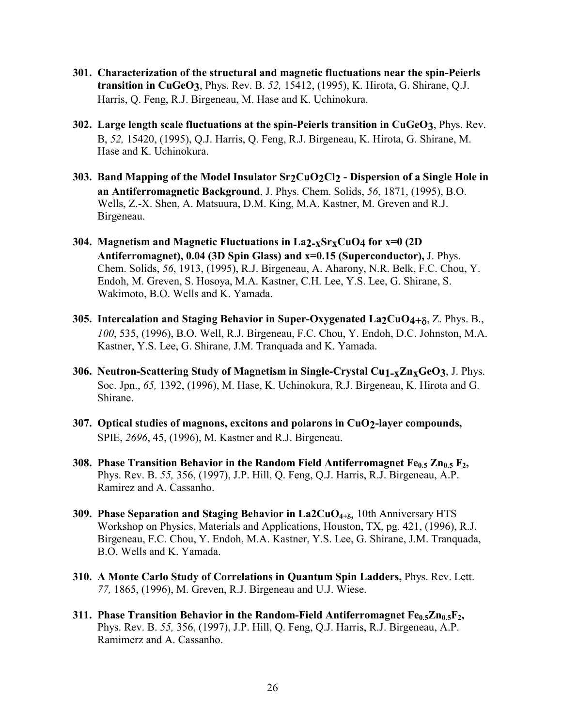- **301. Characterization of the structural and magnetic fluctuations near the spin-Peierls transition in CuGeO3**, Phys. Rev. B. *52,* 15412, (1995), K. Hirota, G. Shirane, Q.J. Harris, Q. Feng, R.J. Birgeneau, M. Hase and K. Uchinokura.
- **302. Large length scale fluctuations at the spin-Peierls transition in CuGeO3**, Phys. Rev. B, *52,* 15420, (1995), Q.J. Harris, Q. Feng, R.J. Birgeneau, K. Hirota, G. Shirane, M. Hase and K. Uchinokura.
- **303. Band Mapping of the Model Insulator Sr2CuO2Cl2 Dispersion of a Single Hole in an Antiferromagnetic Background**, J. Phys. Chem. Solids, *56*, 1871, (1995), B.O. Wells, Z.-X. Shen, A. Matsuura, D.M. King, M.A. Kastner, M. Greven and R.J. Birgeneau.
- **304. Magnetism and Magnetic Fluctuations in La2-xSrxCuO4 for x=0 (2D Antiferromagnet), 0.04 (3D Spin Glass) and x=0.15 (Superconductor),** J. Phys. Chem. Solids, *56*, 1913, (1995), R.J. Birgeneau, A. Aharony, N.R. Belk, F.C. Chou, Y. Endoh, M. Greven, S. Hosoya, M.A. Kastner, C.H. Lee, Y.S. Lee, G. Shirane, S. Wakimoto, B.O. Wells and K. Yamada.
- **305. Intercalation and Staging Behavior in Super-Oxygenated La2CuO4+** $\delta$ **, Z. Phys. B.,** *100*, 535, (1996), B.O. Well, R.J. Birgeneau, F.C. Chou, Y. Endoh, D.C. Johnston, M.A. Kastner, Y.S. Lee, G. Shirane, J.M. Tranquada and K. Yamada.
- **306. Neutron-Scattering Study of Magnetism in Single-Crystal Cu1-xZnxGeO3**, J. Phys. Soc. Jpn., *65,* 1392, (1996), M. Hase, K. Uchinokura, R.J. Birgeneau, K. Hirota and G. Shirane.
- **307. Optical studies of magnons, excitons and polarons in CuO2-layer compounds,**  SPIE, *2696*, 45, (1996), M. Kastner and R.J. Birgeneau.
- **308. Phase Transition Behavior in the Random Field Antiferromagnet Fe<sub>0.5</sub> Zn<sub>0.5</sub> F<sub>2</sub>,** Phys. Rev. B. *55,* 356, (1997), J.P. Hill, Q. Feng, Q.J. Harris, R.J. Birgeneau, A.P. Ramirez and A. Cassanho.
- **309. Phase Separation and Staging Behavior in La2CuO<sub>4+8</sub>, 10th Anniversary HTS** Workshop on Physics, Materials and Applications, Houston, TX, pg. 421, (1996), R.J. Birgeneau, F.C. Chou, Y. Endoh, M.A. Kastner, Y.S. Lee, G. Shirane, J.M. Tranquada, B.O. Wells and K. Yamada.
- **310. A Monte Carlo Study of Correlations in Quantum Spin Ladders,** Phys. Rev. Lett. *77,* 1865, (1996), M. Greven, R.J. Birgeneau and U.J. Wiese.
- **311. Phase Transition Behavior in the Random-Field Antiferromagnet Fe<sub>0.5</sub>Zn<sub>0.5</sub>F<sub>2</sub>,** Phys. Rev. B. *55,* 356, (1997), J.P. Hill, Q. Feng, Q.J. Harris, R.J. Birgeneau, A.P. Ramimerz and A. Cassanho.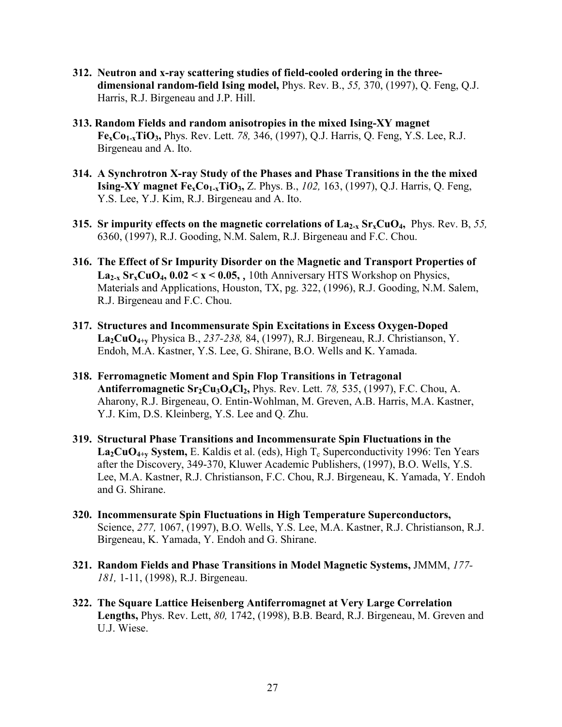- **312. Neutron and x-ray scattering studies of field-cooled ordering in the threedimensional random-field Ising model,** Phys. Rev. B., *55,* 370, (1997), Q. Feng, Q.J. Harris, R.J. Birgeneau and J.P. Hill.
- **313. Random Fields and random anisotropies in the mixed Ising-XY magnet FexCo1-xTiO3,** Phys. Rev. Lett. *78,* 346, (1997), Q.J. Harris, Q. Feng, Y.S. Lee, R.J. Birgeneau and A. Ito.
- **314. A Synchrotron X-ray Study of the Phases and Phase Transitions in the the mixed Ising-XY magnet Fe<sub>x</sub>Co<sub>1-x</sub>TiO<sub>3</sub>,** Z. Phys. B., 102, 163, (1997), Q.J. Harris, Q. Feng, Y.S. Lee, Y.J. Kim, R.J. Birgeneau and A. Ito.
- **315. Sr impurity effects on the magnetic correlations of La2-x SrxCuO4,** Phys. Rev. B, *55,*  6360, (1997), R.J. Gooding, N.M. Salem, R.J. Birgeneau and F.C. Chou.
- **316. The Effect of Sr Impurity Disorder on the Magnetic and Transport Properties of**  $\text{La}_{2-x}$  Sr<sub>x</sub>CuO<sub>4</sub>,  $0.02 \le x \le 0.05$ , 10th Anniversary HTS Workshop on Physics, Materials and Applications, Houston, TX, pg. 322, (1996), R.J. Gooding, N.M. Salem, R.J. Birgeneau and F.C. Chou.
- **317. Structures and Incommensurate Spin Excitations in Excess Oxygen-Doped La2CuO4+y** Physica B., *237-238,* 84, (1997), R.J. Birgeneau, R.J. Christianson, Y. Endoh, M.A. Kastner, Y.S. Lee, G. Shirane, B.O. Wells and K. Yamada.
- **318. Ferromagnetic Moment and Spin Flop Transitions in Tetragonal Antiferromagnetic Sr2Cu3O4Cl2,** Phys. Rev. Lett. *78,* 535, (1997), F.C. Chou, A. Aharony, R.J. Birgeneau, O. Entin-Wohlman, M. Greven, A.B. Harris, M.A. Kastner, Y.J. Kim, D.S. Kleinberg, Y.S. Lee and Q. Zhu.
- **319. Structural Phase Transitions and Incommensurate Spin Fluctuations in the**   $\text{La}_2\text{CuO}_{4+\text{v}}$  System, E. Kaldis et al. (eds), High T<sub>c</sub> Superconductivity 1996: Ten Years after the Discovery, 349-370, Kluwer Academic Publishers, (1997), B.O. Wells, Y.S. Lee, M.A. Kastner, R.J. Christianson, F.C. Chou, R.J. Birgeneau, K. Yamada, Y. Endoh and G. Shirane.
- **320. Incommensurate Spin Fluctuations in High Temperature Superconductors,**  Science, *277,* 1067, (1997), B.O. Wells, Y.S. Lee, M.A. Kastner, R.J. Christianson, R.J. Birgeneau, K. Yamada, Y. Endoh and G. Shirane.
- **321. Random Fields and Phase Transitions in Model Magnetic Systems,** JMMM, *177- 181,* 1-11, (1998), R.J. Birgeneau.
- **322. The Square Lattice Heisenberg Antiferromagnet at Very Large Correlation Lengths,** Phys. Rev. Lett, *80,* 1742, (1998), B.B. Beard, R.J. Birgeneau, M. Greven and U.J. Wiese.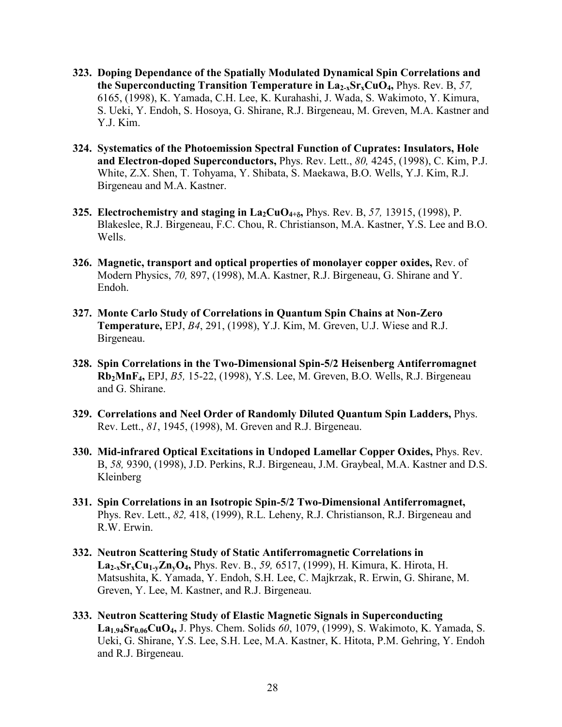- **323. Doping Dependance of the Spatially Modulated Dynamical Spin Correlations and the Superconducting Transition Temperature in La2-xSrxCuO4,** Phys. Rev. B, *57,*  6165, (1998), K. Yamada, C.H. Lee, K. Kurahashi, J. Wada, S. Wakimoto, Y. Kimura, S. Ueki, Y. Endoh, S. Hosoya, G. Shirane, R.J. Birgeneau, M. Greven, M.A. Kastner and Y.J. Kim.
- **324. Systematics of the Photoemission Spectral Function of Cuprates: Insulators, Hole and Electron-doped Superconductors,** Phys. Rev. Lett., *80,* 4245, (1998), C. Kim, P.J. White, Z.X. Shen, T. Tohyama, Y. Shibata, S. Maekawa, B.O. Wells, Y.J. Kim, R.J. Birgeneau and M.A. Kastner.
- **325.** Electrochemistry and staging in  $\text{La}_2\text{CuO}_{4+8}$ , Phys. Rev. B, 57, 13915, (1998), P. Blakeslee, R.J. Birgeneau, F.C. Chou, R. Christianson, M.A. Kastner, Y.S. Lee and B.O. Wells.
- **326. Magnetic, transport and optical properties of monolayer copper oxides,** Rev. of Modern Physics, *70,* 897, (1998), M.A. Kastner, R.J. Birgeneau, G. Shirane and Y. Endoh.
- **327. Monte Carlo Study of Correlations in Quantum Spin Chains at Non-Zero Temperature,** EPJ, *B4*, 291, (1998), Y.J. Kim, M. Greven, U.J. Wiese and R.J. Birgeneau.
- **328. Spin Correlations in the Two-Dimensional Spin-5/2 Heisenberg Antiferromagnet Rb2MnF4,** EPJ, *B5,* 15-22, (1998), Y.S. Lee, M. Greven, B.O. Wells, R.J. Birgeneau and G. Shirane.
- **329. Correlations and Neel Order of Randomly Diluted Quantum Spin Ladders,** Phys. Rev. Lett., *81*, 1945, (1998), M. Greven and R.J. Birgeneau.
- **330. Mid-infrared Optical Excitations in Undoped Lamellar Copper Oxides,** Phys. Rev. B, *58,* 9390, (1998), J.D. Perkins, R.J. Birgeneau, J.M. Graybeal, M.A. Kastner and D.S. Kleinberg
- **331. Spin Correlations in an Isotropic Spin-5/2 Two-Dimensional Antiferromagnet,**  Phys. Rev. Lett., *82,* 418, (1999), R.L. Leheny, R.J. Christianson, R.J. Birgeneau and R.W. Erwin.
- **332. Neutron Scattering Study of Static Antiferromagnetic Correlations in La2-xSrxCu1-yZnyO4,** Phys. Rev. B., *59,* 6517, (1999), H. Kimura, K. Hirota, H. Matsushita, K. Yamada, Y. Endoh, S.H. Lee, C. Majkrzak, R. Erwin, G. Shirane, M. Greven, Y. Lee, M. Kastner, and R.J. Birgeneau.
- **333. Neutron Scattering Study of Elastic Magnetic Signals in Superconducting La1.94Sr0.06CuO4,** J. Phys. Chem. Solids *60*, 1079, (1999), S. Wakimoto, K. Yamada, S. Ueki, G. Shirane, Y.S. Lee, S.H. Lee, M.A. Kastner, K. Hitota, P.M. Gehring, Y. Endoh and R.J. Birgeneau.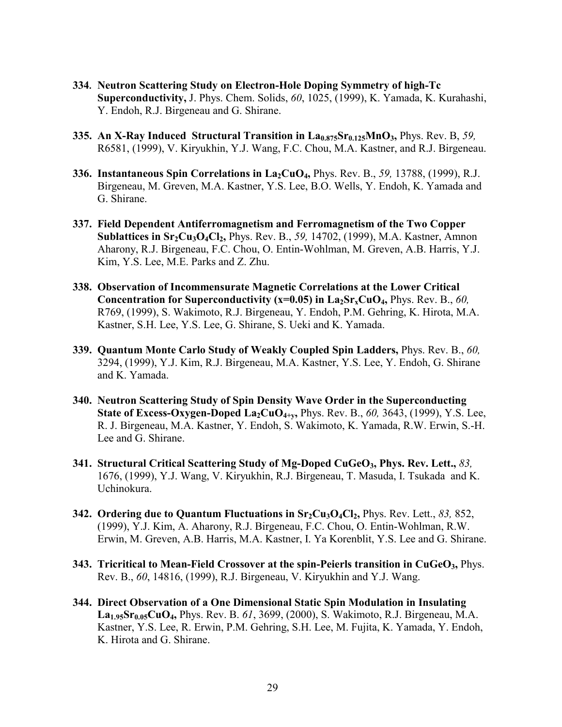- **334. Neutron Scattering Study on Electron-Hole Doping Symmetry of high-Tc Superconductivity,** J. Phys. Chem. Solids, *60*, 1025, (1999), K. Yamada, K. Kurahashi, Y. Endoh, R.J. Birgeneau and G. Shirane.
- **335. An X-Ray Induced Structural Transition in La<sub>0.875</sub>Sr<sub>0.125</sub>MnO<sub>3</sub>, Phys. Rev. B, 59,** R6581, (1999), V. Kiryukhin, Y.J. Wang, F.C. Chou, M.A. Kastner, and R.J. Birgeneau.
- **336. Instantaneous Spin Correlations in La<sub>2</sub>CuO<sub>4</sub>,** *Phys. Rev. B., 59, 13788, (1999), R.J.* Birgeneau, M. Greven, M.A. Kastner, Y.S. Lee, B.O. Wells, Y. Endoh, K. Yamada and G. Shirane.
- **337. Field Dependent Antiferromagnetism and Ferromagnetism of the Two Copper Sublattices in Sr2Cu3O4Cl2,** Phys. Rev. B., *59,* 14702, (1999), M.A. Kastner, Amnon Aharony, R.J. Birgeneau, F.C. Chou, O. Entin-Wohlman, M. Greven, A.B. Harris, Y.J. Kim, Y.S. Lee, M.E. Parks and Z. Zhu.
- **338. Observation of Incommensurate Magnetic Correlations at the Lower Critical Concentration for Superconductivity (** $x=0.05$ **) in**  $La_2Sr_xCuO_4$ **,** *Phys. Rev. B., 60,* R769, (1999), S. Wakimoto, R.J. Birgeneau, Y. Endoh, P.M. Gehring, K. Hirota, M.A. Kastner, S.H. Lee, Y.S. Lee, G. Shirane, S. Ueki and K. Yamada.
- **339. Quantum Monte Carlo Study of Weakly Coupled Spin Ladders,** Phys. Rev. B., *60,* 3294, (1999), Y.J. Kim, R.J. Birgeneau, M.A. Kastner, Y.S. Lee, Y. Endoh, G. Shirane and K. Yamada.
- **340. Neutron Scattering Study of Spin Density Wave Order in the Superconducting State of Excess-Oxygen-Doped La<sub>2</sub>CuO<sub>4+v</sub>, Phys. Rev. B., 60, 3643, (1999), Y.S. Lee,** R. J. Birgeneau, M.A. Kastner, Y. Endoh, S. Wakimoto, K. Yamada, R.W. Erwin, S.-H. Lee and G. Shirane.
- **341. Structural Critical Scattering Study of Mg-Doped CuGeO3, Phys. Rev. Lett.,** *83,*  1676, (1999), Y.J. Wang, V. Kiryukhin, R.J. Birgeneau, T. Masuda, I. Tsukada and K. Uchinokura.
- **342. Ordering due to Quantum Fluctuations in Sr<sub>2</sub>Cu<sub>3</sub>O<sub>4</sub>Cl<sub>2</sub>, Phys. Rev. Lett., 83, 852,** (1999), Y.J. Kim, A. Aharony, R.J. Birgeneau, F.C. Chou, O. Entin-Wohlman, R.W. Erwin, M. Greven, A.B. Harris, M.A. Kastner, I. Ya Korenblit, Y.S. Lee and G. Shirane.
- **343. Tricritical to Mean-Field Crossover at the spin-Peierls transition in CuGeO3,** Phys. Rev. B., *60*, 14816, (1999), R.J. Birgeneau, V. Kiryukhin and Y.J. Wang.
- **344. Direct Observation of a One Dimensional Static Spin Modulation in Insulating La1.95Sr0.05CuO4,** Phys. Rev. B. *61*, 3699, (2000), S. Wakimoto, R.J. Birgeneau, M.A. Kastner, Y.S. Lee, R. Erwin, P.M. Gehring, S.H. Lee, M. Fujita, K. Yamada, Y. Endoh, K. Hirota and G. Shirane.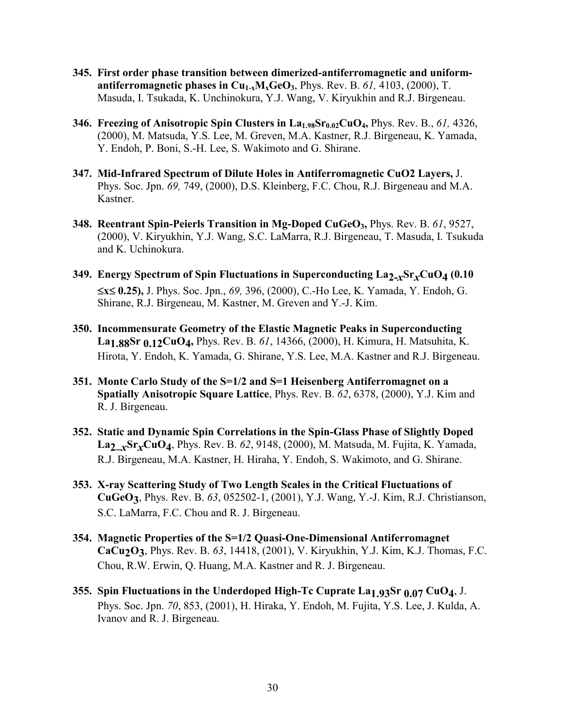- **345. First order phase transition between dimerized-antiferromagnetic and uniform**antiferromagnetic phases in  $Cu_{1-x}M_xGeO_3$ , Phys. Rev. B.  $61$ , 4103, (2000), T. Masuda, I. Tsukada, K. Unchinokura, Y.J. Wang, V. Kiryukhin and R.J. Birgeneau.
- **346. Freezing of Anisotropic Spin Clusters in La1.98Sr0.02CuO4,** Phys. Rev. B., *61,* 4326, (2000), M. Matsuda, Y.S. Lee, M. Greven, M.A. Kastner, R.J. Birgeneau, K. Yamada, Y. Endoh, P. Boni, S.-H. Lee, S. Wakimoto and G. Shirane.
- **347. Mid-Infrared Spectrum of Dilute Holes in Antiferromagnetic CuO2 Layers,** J. Phys. Soc. Jpn. *69,* 749, (2000), D.S. Kleinberg, F.C. Chou, R.J. Birgeneau and M.A. Kastner.
- **348. Reentrant Spin-Peierls Transition in Mg-Doped CuGeO3,** Phys. Rev. B. *61*, 9527, (2000), V. Kiryukhin, Y.J. Wang, S.C. LaMarra, R.J. Birgeneau, T. Masuda, I. Tsukuda and K. Uchinokura.
- **349. Energy Spectrum of Spin Fluctuations in Superconducting La2-***x***Sr***x***CuO4 (0.10**   $\le x \le 0.25$ , J. Phys. Soc. Jpn., 69, 396, (2000), C.-Ho Lee, K. Yamada, Y. Endoh, G. Shirane, R.J. Birgeneau, M. Kastner, M. Greven and Y.-J. Kim.
- **350. Incommensurate Geometry of the Elastic Magnetic Peaks in Superconducting La1.88Sr 0.12CuO4,** Phys. Rev. B. *61*, 14366, (2000), H. Kimura, H. Matsuhita, K. Hirota, Y. Endoh, K. Yamada, G. Shirane, Y.S. Lee, M.A. Kastner and R.J. Birgeneau.
- **351. Monte Carlo Study of the S=1/2 and S=1 Heisenberg Antiferromagnet on a Spatially Anisotropic Square Lattice**, Phys. Rev. B. *62*, 6378, (2000), Y.J. Kim and R. J. Birgeneau.
- **352. Static and Dynamic Spin Correlations in the Spin-Glass Phase of Slightly Doped La2\_***x***Sr***x***CuO4**, Phys. Rev. B. *62*, 9148, (2000), M. Matsuda, M. Fujita, K. Yamada, R.J. Birgeneau, M.A. Kastner, H. Hiraha, Y. Endoh, S. Wakimoto, and G. Shirane.
- **353. X-ray Scattering Study of Two Length Scales in the Critical Fluctuations of CuGeO3**, Phys. Rev. B. *63*, 052502-1, (2001), Y.J. Wang, Y.-J. Kim, R.J. Christianson, S.C. LaMarra, F.C. Chou and R. J. Birgeneau.
- **354. Magnetic Properties of the S=1/2 Quasi-One-Dimensional Antiferromagnet CaCu2O3**, Phys. Rev. B. *63*, 14418, (2001), V. Kiryukhin, Y.J. Kim, K.J. Thomas, F.C. Chou, R.W. Erwin, Q. Huang, M.A. Kastner and R. J. Birgeneau.
- **355. Spin Fluctuations in the Underdoped High-Tc Cuprate La1.93Sr 0.07 CuO4**, J. Phys. Soc. Jpn. *70*, 853, (2001), H. Hiraka, Y. Endoh, M. Fujita, Y.S. Lee, J. Kulda, A. Ivanov and R. J. Birgeneau.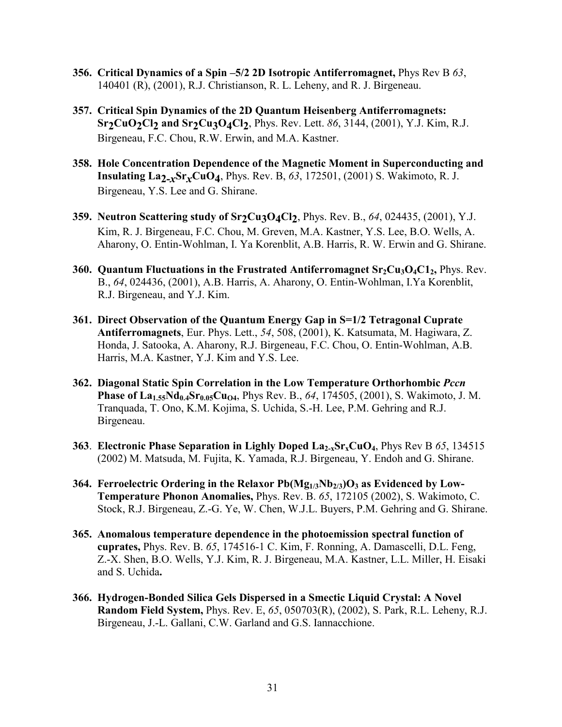- **356. Critical Dynamics of a Spin –5/2 2D Isotropic Antiferromagnet,** Phys Rev B *63*, 140401 (R), (2001), R.J. Christianson, R. L. Leheny, and R. J. Birgeneau.
- **357. Critical Spin Dynamics of the 2D Quantum Heisenberg Antiferromagnets: Sr<sub>2</sub>CuO<sub>2</sub>Cl<sub>2</sub> and Sr<sub>2</sub>Cu<sub>3</sub>O<sub>4</sub>Cl<sub>2</sub>, Phys. Rev. Lett. 86, 3144, (2001), Y.J. Kim, R.J.** Birgeneau, F.C. Chou, R.W. Erwin, and M.A. Kastner.
- **358. Hole Concentration Dependence of the Magnetic Moment in Superconducting and Insulating La2-***x***Sr***x***CuO4**, Phys. Rev. B, *63*, 172501, (2001) S. Wakimoto, R. J. Birgeneau, Y.S. Lee and G. Shirane.
- **359. Neutron Scattering study of Sr<sub>2</sub>Cu<sub>3</sub>O<sub>4</sub>Cl<sub>2</sub>, Phys. Rev. B., 64, 024435, (2001), Y.J.** Kim, R. J. Birgeneau, F.C. Chou, M. Greven, M.A. Kastner, Y.S. Lee, B.O. Wells, A. Aharony, O. Entin-Wohlman, I. Ya Korenblit, A.B. Harris, R. W. Erwin and G. Shirane.
- **360. Quantum Fluctuations in the Frustrated Antiferromagnet Sr<sub>2</sub>Cu<sub>3</sub>O<sub>4</sub>C1<sub>2</sub>, Phys. Rev.** B., *64*, 024436, (2001), A.B. Harris, A. Aharony, O. Entin-Wohlman, I.Ya Korenblit, R.J. Birgeneau, and Y.J. Kim.
- **361. Direct Observation of the Quantum Energy Gap in S=1/2 Tetragonal Cuprate Antiferromagnets**, Eur. Phys. Lett., *54*, 508, (2001), K. Katsumata, M. Hagiwara, Z. Honda, J. Satooka, A. Aharony, R.J. Birgeneau, F.C. Chou, O. Entin-Wohlman, A.B. Harris, M.A. Kastner, Y.J. Kim and Y.S. Lee.
- **362. Diagonal Static Spin Correlation in the Low Temperature Orthorhombic** *Pccn* **Phase of La<sub>1.55</sub>Nd<sub>0.4</sub>Sr<sub>0.05</sub>Cu<sub>O4</sub>**, Phys Rev. B., 64, 174505, (2001), S. Wakimoto, J. M. Tranquada, T. Ono, K.M. Kojima, S. Uchida, S.-H. Lee, P.M. Gehring and R.J. Birgeneau.
- **363**. **Electronic Phase Separation in Lighly Doped La2-xSrxCuO4**, Phys Rev B *65*, 134515 (2002) M. Matsuda, M. Fujita, K. Yamada, R.J. Birgeneau, Y. Endoh and G. Shirane.
- 364. Ferroelectric Ordering in the Relaxor Pb(Mg<sub>1/3</sub>Nb<sub>2/3</sub>)O<sub>3</sub> as Evidenced by Low-**Temperature Phonon Anomalies,** Phys. Rev. B. *65*, 172105 (2002), S. Wakimoto, C. Stock, R.J. Birgeneau, Z.-G. Ye, W. Chen, W.J.L. Buyers, P.M. Gehring and G. Shirane.
- **365. Anomalous temperature dependence in the photoemission spectral function of cuprates,** Phys. Rev. B. *65*, 174516-1 C. Kim, F. Ronning, A. Damascelli, D.L. Feng, Z.-X. Shen, B.O. Wells, Y.J. Kim, R. J. Birgeneau, M.A. Kastner, L.L. Miller, H. Eisaki and S. Uchida**.**
- **366. Hydrogen-Bonded Silica Gels Dispersed in a Smectic Liquid Crystal: A Novel Random Field System,** Phys. Rev. E, *65*, 050703(R), (2002), S. Park, R.L. Leheny, R.J. Birgeneau, J.-L. Gallani, C.W. Garland and G.S. Iannacchione.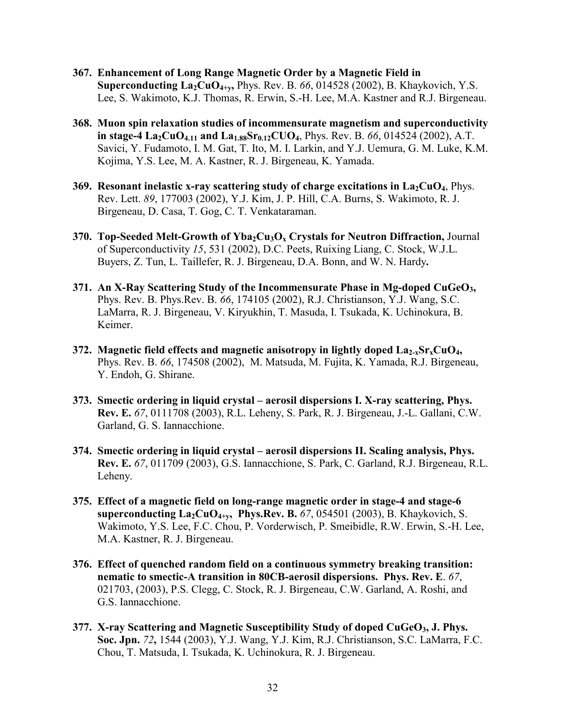- **367. Enhancement of Long Range Magnetic Order by a Magnetic Field in Superconducting La2CuO4+y,** Phys. Rev. B. *66*, 014528 (2002), B. Khaykovich, Y.S. Lee, S. Wakimoto, K.J. Thomas, R. Erwin, S.-H. Lee, M.A. Kastner and R.J. Birgeneau.
- **368. Muon spin relaxation studies of incommensurate magnetism and superconductivity in stage-4 La<sub>2</sub>CuO<sub>4.11</sub> and La<sub>1.88</sub>Sr<sub>0.12</sub>CUO<sub>4</sub>, Phys. Rev. B. 66, 014524 (2002), A.T.** Savici, Y. Fudamoto, I. M. Gat, T. Ito, M. I. Larkin, and Y.J. Uemura, G. M. Luke, K.M. Kojima, Y.S. Lee, M. A. Kastner, R. J. Birgeneau, K. Yamada.
- **369. Resonant inelastic x-ray scattering study of charge excitations in La<sub>2</sub>CuO<sub>4</sub>, Phys.** Rev. Lett. *89*, 177003 (2002), Y.J. Kim, J. P. Hill, C.A. Burns, S. Wakimoto, R. J. Birgeneau, D. Casa, T. Gog, C. T. Venkataraman.
- **370. Top-Seeded Melt-Growth of Yba<sub>2</sub>Cu<sub>3</sub>O<sub>x</sub> Crystals for Neutron Diffraction, Journal** of Superconductivity *15*, 531 (2002), D.C. Peets, Ruixing Liang, C. Stock, W.J.L. Buyers, Z. Tun, L. Taillefer, R. J. Birgeneau, D.A. Bonn, and W. N. Hardy**.**
- **371. An X-Ray Scattering Study of the Incommensurate Phase in Mg-doped CuGeO3,** Phys. Rev. B. Phys.Rev. B. *66*, 174105 (2002), R.J. Christianson, Y.J. Wang, S.C. LaMarra, R. J. Birgeneau, V. Kiryukhin, T. Masuda, I. Tsukada, K. Uchinokura, B. Keimer.
- **372.** Magnetic field effects and magnetic anisotropy in lightly doped  $\text{La}_{2-x}\text{Sr}_{x}\text{CuO}_{4}$ , Phys. Rev. B. *66*, 174508 (2002), M. Matsuda, M. Fujita, K. Yamada, R.J. Birgeneau, Y. Endoh, G. Shirane.
- **373. Smectic ordering in liquid crystal aerosil dispersions I. X-ray scattering, Phys. Rev. E.** *67*, 0111708 (2003), R.L. Leheny, S. Park, R. J. Birgeneau, J.-L. Gallani, C.W. Garland, G. S. Iannacchione.
- **374. Smectic ordering in liquid crystal aerosil dispersions II. Scaling analysis, Phys. Rev. E.** *67*, 011709 (2003), G.S. Iannacchione, S. Park, C. Garland, R.J. Birgeneau, R.L. Leheny.
- **375. Effect of a magnetic field on long-range magnetic order in stage-4 and stage-6**  superconducting  $\text{La}_2\text{CuO}_{4+\text{y}}$ , Phys.Rev. B.  $67$ , 054501 (2003), B. Khaykovich, S. Wakimoto, Y.S. Lee, F.C. Chou, P. Vorderwisch, P. Smeibidle, R.W. Erwin, S.-H. Lee, M.A. Kastner, R. J. Birgeneau.
- **376. Effect of quenched random field on a continuous symmetry breaking transition: nematic to smectic-A transition in 80CB-aerosil dispersions. Phys. Rev. E**. *67*, 021703, (2003), P.S. Clegg, C. Stock, R. J. Birgeneau, C.W. Garland, A. Roshi, and G.S. Iannacchione.
- **377. X-ray Scattering and Magnetic Susceptibility Study of doped CuGeO3, J. Phys. Soc. Jpn.** *72***,** 1544 (2003), Y.J. Wang, Y.J. Kim, R.J. Christianson, S.C. LaMarra, F.C. Chou, T. Matsuda, I. Tsukada, K. Uchinokura, R. J. Birgeneau.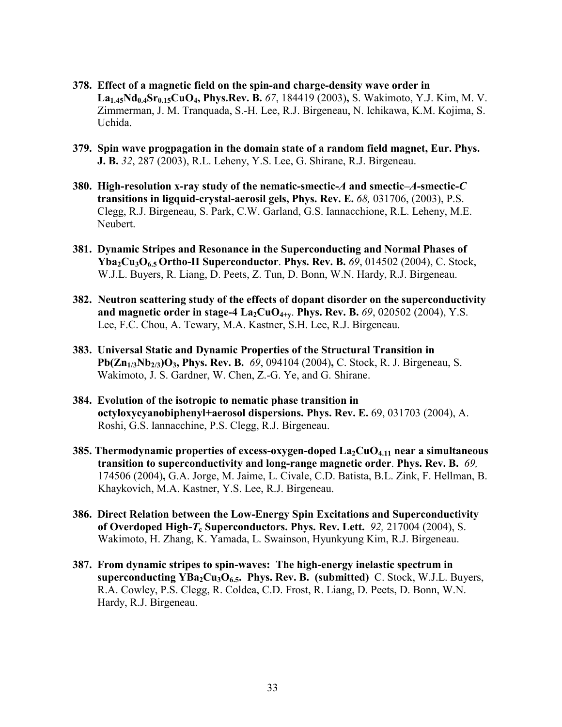- **378. Effect of a magnetic field on the spin-and charge-density wave order in La1.45Nd0.4Sr0.15CuO4, Phys.Rev. B.** *67*, 184419 (2003)**,** S. Wakimoto, Y.J. Kim, M. V. Zimmerman, J. M. Tranquada, S.-H. Lee, R.J. Birgeneau, N. Ichikawa, K.M. Kojima, S. Uchida.
- **379. Spin wave progpagation in the domain state of a random field magnet, Eur. Phys. J. B.** *32*, 287 (2003), R.L. Leheny, Y.S. Lee, G. Shirane, R.J. Birgeneau.
- **380. High-resolution x-ray study of the nematic-smectic-***A* **and smectic–***A***-smectic-***C* **transitions in ligquid-crystal-aerosil gels, Phys. Rev. E.** *68,* 031706, (2003), P.S. Clegg, R.J. Birgeneau, S. Park, C.W. Garland, G.S. Iannacchione, R.L. Leheny, M.E. Neubert.
- **381.****Dynamic Stripes and Resonance in the Superconducting and Normal Phases of Yba2Cu3O6.5 Ortho-II Superconductor**. **Phys. Rev. B.** *69*, 014502 (2004), C. Stock, W.J.L. Buyers, R. Liang, D. Peets, Z. Tun, D. Bonn, W.N. Hardy, R.J. Birgeneau.
- **382. Neutron scattering study of the effects of dopant disorder on the superconductivity**  and magnetic order in stage-4 La<sub>2</sub>CuO<sub>4+y</sub>. Phys. Rev. B. 69, 020502 (2004), Y.S. Lee, F.C. Chou, A. Tewary, M.A. Kastner, S.H. Lee, R.J. Birgeneau.
- **383. Universal Static and Dynamic Properties of the Structural Transition in Pb(Zn1/3Nb2/3)O3, Phys. Rev. B.** *69*, 094104 (2004)**,** C. Stock, R. J. Birgeneau, S. Wakimoto, J. S. Gardner, W. Chen, Z.-G. Ye, and G. Shirane.
- **384. Evolution of the isotropic to nematic phase transition in octyloxycyanobiphenyl+aerosol dispersions. Phys. Rev. E.** 69, 031703 (2004), A. Roshi, G.S. Iannacchine, P.S. Clegg, R.J. Birgeneau.
- **385. Thermodynamic properties of excess-oxygen-doped La<sub>2</sub>CuO<sub>4.11</sub> near a simultaneous transition to superconductivity and long-range magnetic order**. **Phys. Rev. B.** *69,*  174506 (2004)**,** G.A. Jorge, M. Jaime, L. Civale, C.D. Batista, B.L. Zink, F. Hellman, B. Khaykovich, M.A. Kastner, Y.S. Lee, R.J. Birgeneau.
- **386. Direct Relation between the Low-Energy Spin Excitations and Superconductivity of Overdoped High-***T***c Superconductors. Phys. Rev. Lett.** *92,* 217004 (2004), S. Wakimoto, H. Zhang, K. Yamada, L. Swainson, Hyunkyung Kim, R.J. Birgeneau.
- **387. From dynamic stripes to spin-waves: The high-energy inelastic spectrum in**  superconducting YBa<sub>2</sub>Cu<sub>3</sub>O<sub>6.5</sub>. Phys. Rev. B. (submitted) C. Stock, W.J.L. Buyers, R.A. Cowley, P.S. Clegg, R. Coldea, C.D. Frost, R. Liang, D. Peets, D. Bonn, W.N. Hardy, R.J. Birgeneau.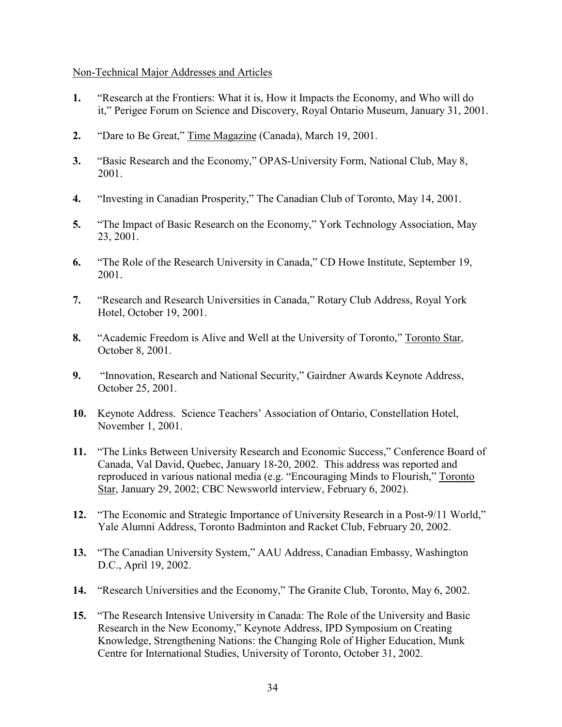## Non-Technical Major Addresses and Articles

- **1.** "Research at the Frontiers: What it is, How it Impacts the Economy, and Who will do it," Perigee Forum on Science and Discovery, Royal Ontario Museum, January 31, 2001.
- **2.** "Dare to Be Great," Time Magazine (Canada), March 19, 2001.
- **3.** "Basic Research and the Economy," OPAS-University Form, National Club, May 8, 2001.
- **4.** "Investing in Canadian Prosperity," The Canadian Club of Toronto, May 14, 2001.
- **5.** "The Impact of Basic Research on the Economy," York Technology Association, May 23, 2001.
- **6.** "The Role of the Research University in Canada," CD Howe Institute, September 19, 2001.
- **7.** "Research and Research Universities in Canada," Rotary Club Address, Royal York Hotel, October 19, 2001.
- **8.** "Academic Freedom is Alive and Well at the University of Toronto," Toronto Star, October 8, 2001.
- **9.** "Innovation, Research and National Security," Gairdner Awards Keynote Address, October 25, 2001.
- **10.** Keynote Address. Science Teachers' Association of Ontario, Constellation Hotel, November 1, 2001.
- **11.** "The Links Between University Research and Economic Success," Conference Board of Canada, Val David, Quebec, January 18-20, 2002. This address was reported and reproduced in various national media (e.g. "Encouraging Minds to Flourish," Toronto Star, January 29, 2002; CBC Newsworld interview, February 6, 2002).
- **12.** "The Economic and Strategic Importance of University Research in a Post-9/11 World," Yale Alumni Address, Toronto Badminton and Racket Club, February 20, 2002.
- **13.** "The Canadian University System," AAU Address, Canadian Embassy, Washington D.C., April 19, 2002.
- **14.** "Research Universities and the Economy," The Granite Club, Toronto, May 6, 2002.
- **15.** "The Research Intensive University in Canada: The Role of the University and Basic Research in the New Economy," Keynote Address, IPD Symposium on Creating Knowledge, Strengthening Nations: the Changing Role of Higher Education, Munk Centre for International Studies, University of Toronto, October 31, 2002.